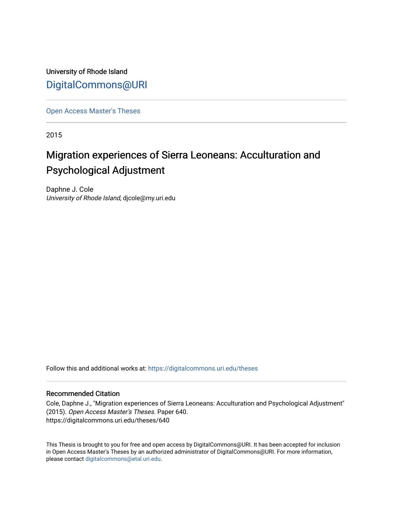University of Rhode Island [DigitalCommons@URI](https://digitalcommons.uri.edu/) 

[Open Access Master's Theses](https://digitalcommons.uri.edu/theses) 

2015

# Migration experiences of Sierra Leoneans: Acculturation and Psychological Adjustment

Daphne J. Cole University of Rhode Island, djcole@my.uri.edu

Follow this and additional works at: [https://digitalcommons.uri.edu/theses](https://digitalcommons.uri.edu/theses?utm_source=digitalcommons.uri.edu%2Ftheses%2F640&utm_medium=PDF&utm_campaign=PDFCoverPages)

### Recommended Citation

Cole, Daphne J., "Migration experiences of Sierra Leoneans: Acculturation and Psychological Adjustment" (2015). Open Access Master's Theses. Paper 640. https://digitalcommons.uri.edu/theses/640

This Thesis is brought to you for free and open access by DigitalCommons@URI. It has been accepted for inclusion in Open Access Master's Theses by an authorized administrator of DigitalCommons@URI. For more information, please contact [digitalcommons@etal.uri.edu.](mailto:digitalcommons@etal.uri.edu)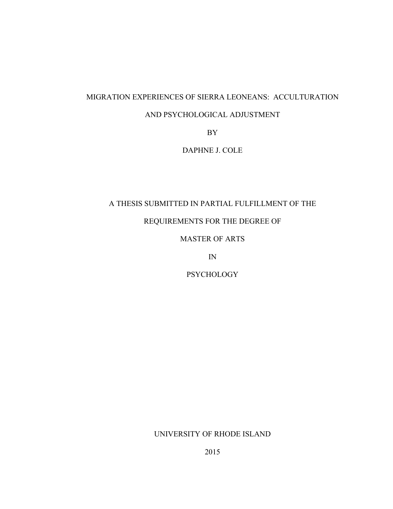## MIGRATION EXPERIENCES OF SIERRA LEONEANS: ACCULTURATION

### AND PSYCHOLOGICAL ADJUSTMENT

BY

DAPHNE J. COLE

# A THESIS SUBMITTED IN PARTIAL FULFILLMENT OF THE

# REQUIREMENTS FOR THE DEGREE OF

### MASTER OF ARTS

IN

# **PSYCHOLOGY**

### UNIVERSITY OF RHODE ISLAND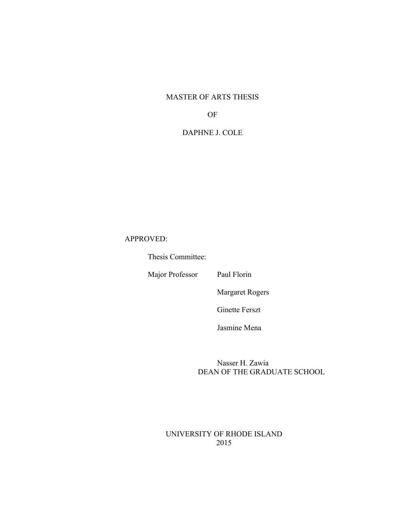### MASTER OF ARTS THESIS

### OF

# DAPHNE J. COLE

# APPROVED:

Thesis Committee:

Major Professor Paul Florin

Margaret Rogers

Ginette Ferszt

Jasmine Mena

Nasser H. Zawia DEAN OF THE GRADUATE SCHOOL

### UNIVERSITY OF RHODE ISLAND 2015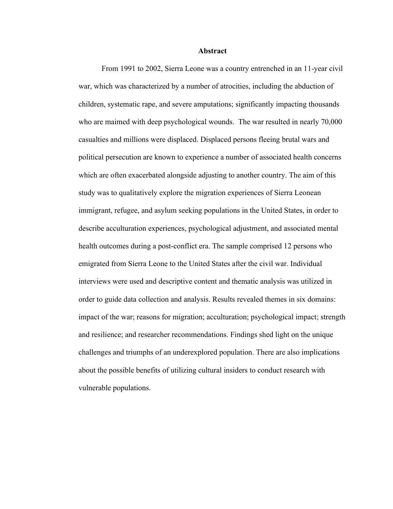#### **Abstract**

From 1991 to 2002, Sierra Leone was a country entrenched in an 11-year civil war, which was characterized by a number of atrocities, including the abduction of children, systematic rape, and severe amputations; significantly impacting thousands who are maimed with deep psychological wounds. The war resulted in nearly 70,000 casualties and millions were displaced. Displaced persons fleeing brutal wars and political persecution are known to experience a number of associated health concerns which are often exacerbated alongside adjusting to another country. The aim of this study was to qualitatively explore the migration experiences of Sierra Leonean immigrant, refugee, and asylum seeking populations in the United States, in order to describe acculturation experiences, psychological adjustment, and associated mental health outcomes during a post-conflict era. The sample comprised 12 persons who emigrated from Sierra Leone to the United States after the civil war. Individual interviews were used and descriptive content and thematic analysis was utilized in order to guide data collection and analysis. Results revealed themes in six domains: impact of the war; reasons for migration; acculturation; psychological impact; strength and resilience; and researcher recommendations. Findings shed light on the unique challenges and triumphs of an underexplored population. There are also implications about the possible benefits of utilizing cultural insiders to conduct research with vulnerable populations.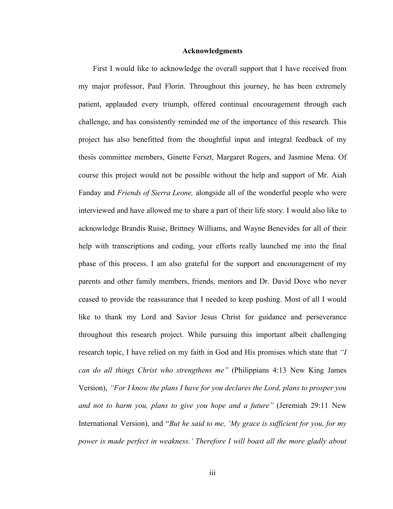#### **Acknowledgments**

First I would like to acknowledge the overall support that I have received from my major professor, Paul Florin. Throughout this journey, he has been extremely patient, applauded every triumph, offered continual encouragement through each challenge, and has consistently reminded me of the importance of this research. This project has also benefitted from the thoughtful input and integral feedback of my thesis committee members, Ginette Ferszt, Margaret Rogers, and Jasmine Mena. Of course this project would not be possible without the help and support of Mr. Aiah Fanday and *Friends of Sierra Leone,* alongside all of the wonderful people who were interviewed and have allowed me to share a part of their life story. I would also like to acknowledge Brandis Ruise, Brittney Williams, and Wayne Benevides for all of their help with transcriptions and coding, your efforts really launched me into the final phase of this process. I am also grateful for the support and encouragement of my parents and other family members, friends, mentors and Dr. David Dove who never ceased to provide the reassurance that I needed to keep pushing. Most of all I would like to thank my Lord and Savior Jesus Christ for guidance and perseverance throughout this research project. While pursuing this important albeit challenging research topic, I have relied on my faith in God and His promises which state that *"I can do all things Christ who strengthens me"* (Philippians 4:13 New King James Version), *"For I know the plans I have for you declares the Lord, plans to prosper you and not to harm you, plans to give you hope and a future"* (Jeremiah 29:11 New International Version), and "*But he said to me, 'My grace is sufficient for you, for my power is made perfect in weakness.' Therefore I will boast all the more gladly about*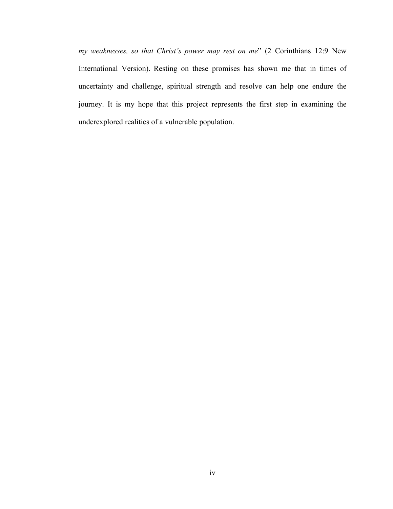*my weaknesses, so that Christ's power may rest on me*" (2 Corinthians 12:9 New International Version). Resting on these promises has shown me that in times of uncertainty and challenge, spiritual strength and resolve can help one endure the journey. It is my hope that this project represents the first step in examining the underexplored realities of a vulnerable population.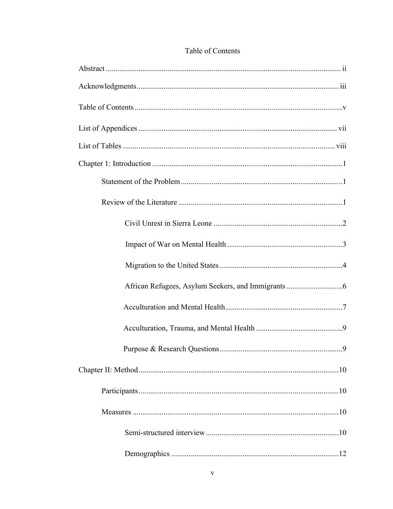# Table of Contents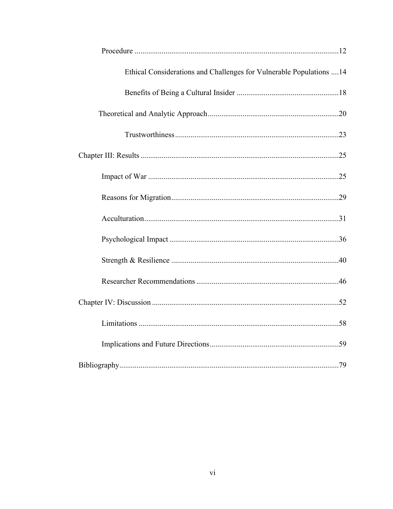| Ethical Considerations and Challenges for Vulnerable Populations  14 |  |
|----------------------------------------------------------------------|--|
|                                                                      |  |
|                                                                      |  |
|                                                                      |  |
|                                                                      |  |
|                                                                      |  |
|                                                                      |  |
|                                                                      |  |
|                                                                      |  |
|                                                                      |  |
|                                                                      |  |
|                                                                      |  |
|                                                                      |  |
|                                                                      |  |
|                                                                      |  |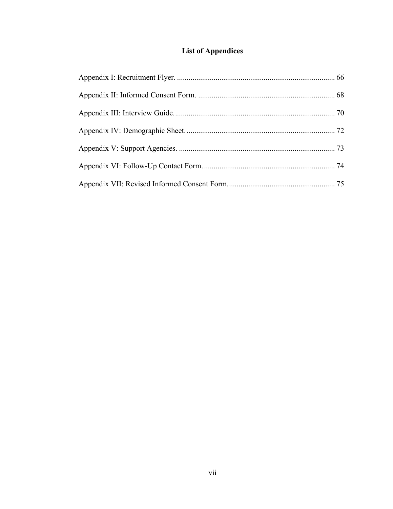# **List of Appendices**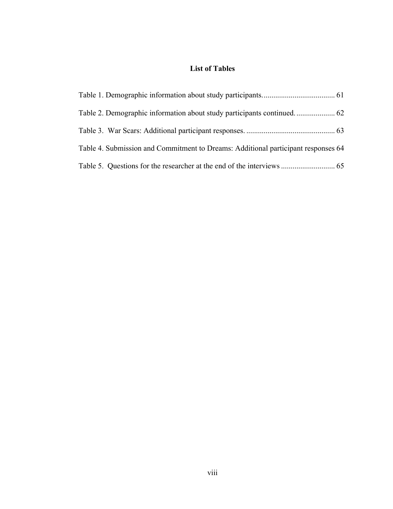# **List of Tables**

| Table 4. Submission and Commitment to Dreams: Additional participant responses 64 |  |
|-----------------------------------------------------------------------------------|--|
|                                                                                   |  |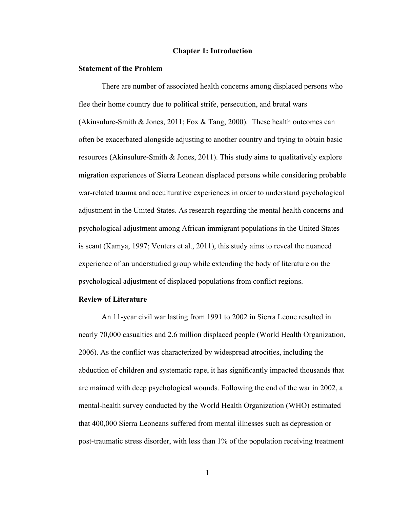#### **Chapter 1: Introduction**

#### **Statement of the Problem**

There are number of associated health concerns among displaced persons who flee their home country due to political strife, persecution, and brutal wars (Akinsulure-Smith & Jones, 2011; Fox & Tang, 2000). These health outcomes can often be exacerbated alongside adjusting to another country and trying to obtain basic resources (Akinsulure-Smith & Jones, 2011). This study aims to qualitatively explore migration experiences of Sierra Leonean displaced persons while considering probable war-related trauma and acculturative experiences in order to understand psychological adjustment in the United States. As research regarding the mental health concerns and psychological adjustment among African immigrant populations in the United States is scant (Kamya, 1997; Venters et al., 2011), this study aims to reveal the nuanced experience of an understudied group while extending the body of literature on the psychological adjustment of displaced populations from conflict regions.

#### **Review of Literature**

An 11-year civil war lasting from 1991 to 2002 in Sierra Leone resulted in nearly 70,000 casualties and 2.6 million displaced people (World Health Organization, 2006). As the conflict was characterized by widespread atrocities, including the abduction of children and systematic rape, it has significantly impacted thousands that are maimed with deep psychological wounds. Following the end of the war in 2002, a mental-health survey conducted by the World Health Organization (WHO) estimated that 400,000 Sierra Leoneans suffered from mental illnesses such as depression or post-traumatic stress disorder, with less than 1% of the population receiving treatment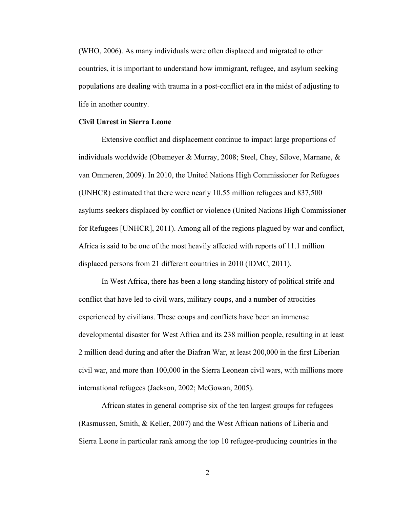(WHO, 2006). As many individuals were often displaced and migrated to other countries, it is important to understand how immigrant, refugee, and asylum seeking populations are dealing with trauma in a post-conflict era in the midst of adjusting to life in another country.

#### **Civil Unrest in Sierra Leone**

Extensive conflict and displacement continue to impact large proportions of individuals worldwide (Obemeyer & Murray, 2008; Steel, Chey, Silove, Marnane, & van Ommeren, 2009). In 2010, the United Nations High Commissioner for Refugees (UNHCR) estimated that there were nearly 10.55 million refugees and 837,500 asylums seekers displaced by conflict or violence (United Nations High Commissioner for Refugees [UNHCR], 2011). Among all of the regions plagued by war and conflict, Africa is said to be one of the most heavily affected with reports of 11.1 million displaced persons from 21 different countries in 2010 (IDMC, 2011).

In West Africa, there has been a long-standing history of political strife and conflict that have led to civil wars, military coups, and a number of atrocities experienced by civilians. These coups and conflicts have been an immense developmental disaster for West Africa and its 238 million people, resulting in at least 2 million dead during and after the Biafran War, at least 200,000 in the first Liberian civil war, and more than 100,000 in the Sierra Leonean civil wars, with millions more international refugees (Jackson, 2002; McGowan, 2005).

African states in general comprise six of the ten largest groups for refugees (Rasmussen, Smith, & Keller, 2007) and the West African nations of Liberia and Sierra Leone in particular rank among the top 10 refugee-producing countries in the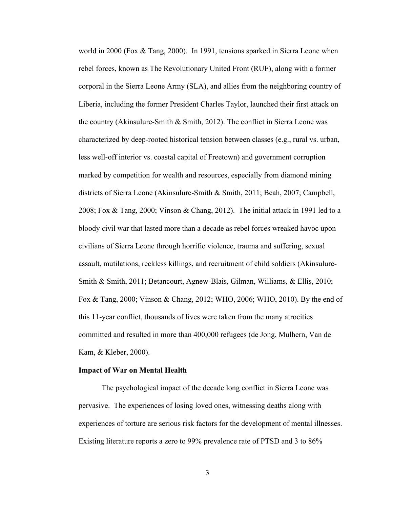world in 2000 (Fox & Tang, 2000). In 1991, tensions sparked in Sierra Leone when rebel forces, known as The Revolutionary United Front (RUF), along with a former corporal in the Sierra Leone Army (SLA), and allies from the neighboring country of Liberia, including the former President Charles Taylor, launched their first attack on the country (Akinsulure-Smith & Smith, 2012). The conflict in Sierra Leone was characterized by deep-rooted historical tension between classes (e.g., rural vs. urban, less well-off interior vs. coastal capital of Freetown) and government corruption marked by competition for wealth and resources, especially from diamond mining districts of Sierra Leone (Akinsulure-Smith & Smith, 2011; Beah, 2007; Campbell, 2008; Fox & Tang, 2000; Vinson & Chang, 2012). The initial attack in 1991 led to a bloody civil war that lasted more than a decade as rebel forces wreaked havoc upon civilians of Sierra Leone through horrific violence, trauma and suffering, sexual assault, mutilations, reckless killings, and recruitment of child soldiers (Akinsulure-Smith & Smith, 2011; Betancourt, Agnew-Blais, Gilman, Williams, & Ellis, 2010; Fox & Tang, 2000; Vinson & Chang, 2012; WHO, 2006; WHO, 2010). By the end of this 11-year conflict, thousands of lives were taken from the many atrocities committed and resulted in more than 400,000 refugees (de Jong, Mulhern, Van de Kam, & Kleber, 2000).

#### **Impact of War on Mental Health**

The psychological impact of the decade long conflict in Sierra Leone was pervasive. The experiences of losing loved ones, witnessing deaths along with experiences of torture are serious risk factors for the development of mental illnesses. Existing literature reports a zero to 99% prevalence rate of PTSD and 3 to 86%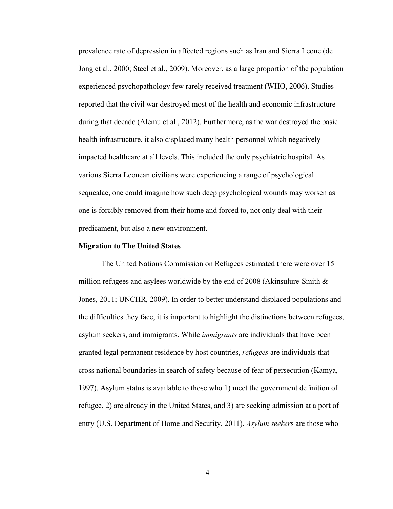prevalence rate of depression in affected regions such as Iran and Sierra Leone (de Jong et al., 2000; Steel et al., 2009). Moreover, as a large proportion of the population experienced psychopathology few rarely received treatment (WHO, 2006). Studies reported that the civil war destroyed most of the health and economic infrastructure during that decade (Alemu et al., 2012). Furthermore, as the war destroyed the basic health infrastructure, it also displaced many health personnel which negatively impacted healthcare at all levels. This included the only psychiatric hospital. As various Sierra Leonean civilians were experiencing a range of psychological sequealae, one could imagine how such deep psychological wounds may worsen as one is forcibly removed from their home and forced to, not only deal with their predicament, but also a new environment.

#### **Migration to The United States**

The United Nations Commission on Refugees estimated there were over 15 million refugees and asylees worldwide by the end of 2008 (Akinsulure-Smith  $\&$ Jones, 2011; UNCHR, 2009). In order to better understand displaced populations and the difficulties they face, it is important to highlight the distinctions between refugees, asylum seekers, and immigrants. While *immigrants* are individuals that have been granted legal permanent residence by host countries, *refugees* are individuals that cross national boundaries in search of safety because of fear of persecution (Kamya, 1997). Asylum status is available to those who 1) meet the government definition of refugee, 2) are already in the United States, and 3) are seeking admission at a port of entry (U.S. Department of Homeland Security, 2011). *Asylum seeker*s are those who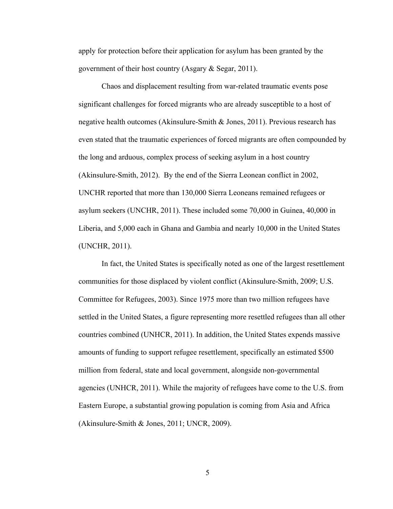apply for protection before their application for asylum has been granted by the government of their host country (Asgary & Segar, 2011).

Chaos and displacement resulting from war-related traumatic events pose significant challenges for forced migrants who are already susceptible to a host of negative health outcomes (Akinsulure-Smith & Jones, 2011). Previous research has even stated that the traumatic experiences of forced migrants are often compounded by the long and arduous, complex process of seeking asylum in a host country (Akinsulure-Smith, 2012). By the end of the Sierra Leonean conflict in 2002, UNCHR reported that more than 130,000 Sierra Leoneans remained refugees or asylum seekers (UNCHR, 2011). These included some 70,000 in Guinea, 40,000 in Liberia, and 5,000 each in Ghana and Gambia and nearly 10,000 in the United States (UNCHR, 2011).

In fact, the United States is specifically noted as one of the largest resettlement communities for those displaced by violent conflict (Akinsulure-Smith, 2009; U.S. Committee for Refugees, 2003). Since 1975 more than two million refugees have settled in the United States, a figure representing more resettled refugees than all other countries combined (UNHCR, 2011). In addition, the United States expends massive amounts of funding to support refugee resettlement, specifically an estimated \$500 million from federal, state and local government, alongside non-governmental agencies (UNHCR, 2011). While the majority of refugees have come to the U.S. from Eastern Europe, a substantial growing population is coming from Asia and Africa (Akinsulure-Smith & Jones, 2011; UNCR, 2009).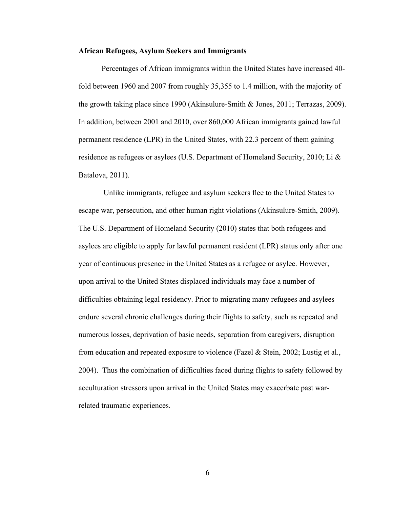#### **African Refugees, Asylum Seekers and Immigrants**

Percentages of African immigrants within the United States have increased 40 fold between 1960 and 2007 from roughly 35,355 to 1.4 million, with the majority of the growth taking place since 1990 (Akinsulure-Smith & Jones, 2011; Terrazas, 2009). In addition, between 2001 and 2010, over 860,000 African immigrants gained lawful permanent residence (LPR) in the United States, with 22.3 percent of them gaining residence as refugees or asylees (U.S. Department of Homeland Security, 2010; Li  $\&$ Batalova, 2011).

Unlike immigrants, refugee and asylum seekers flee to the United States to escape war, persecution, and other human right violations (Akinsulure-Smith, 2009). The U.S. Department of Homeland Security (2010) states that both refugees and asylees are eligible to apply for lawful permanent resident (LPR) status only after one year of continuous presence in the United States as a refugee or asylee. However, upon arrival to the United States displaced individuals may face a number of difficulties obtaining legal residency. Prior to migrating many refugees and asylees endure several chronic challenges during their flights to safety, such as repeated and numerous losses, deprivation of basic needs, separation from caregivers, disruption from education and repeated exposure to violence (Fazel & Stein, 2002; Lustig et al., 2004). Thus the combination of difficulties faced during flights to safety followed by acculturation stressors upon arrival in the United States may exacerbate past warrelated traumatic experiences.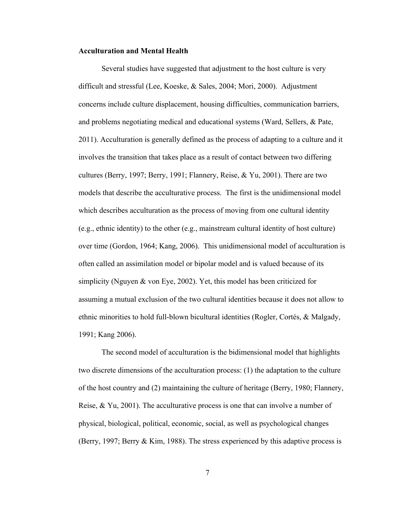#### **Acculturation and Mental Health**

Several studies have suggested that adjustment to the host culture is very difficult and stressful (Lee, Koeske, & Sales, 2004; Mori, 2000). Adjustment concerns include culture displacement, housing difficulties, communication barriers, and problems negotiating medical and educational systems (Ward, Sellers, & Pate, 2011). Acculturation is generally defined as the process of adapting to a culture and it involves the transition that takes place as a result of contact between two differing cultures (Berry, 1997; Berry, 1991; Flannery, Reise, & Yu, 2001). There are two models that describe the acculturative process. The first is the unidimensional model which describes acculturation as the process of moving from one cultural identity (e.g., ethnic identity) to the other (e.g., mainstream cultural identity of host culture) over time (Gordon, 1964; Kang, 2006). This unidimensional model of acculturation is often called an assimilation model or bipolar model and is valued because of its simplicity (Nguyen & von Eye, 2002). Yet, this model has been criticized for assuming a mutual exclusion of the two cultural identities because it does not allow to ethnic minorities to hold full-blown bicultural identities (Rogler, Cortés, & Malgady, 1991; Kang 2006).

The second model of acculturation is the bidimensional model that highlights two discrete dimensions of the acculturation process: (1) the adaptation to the culture of the host country and (2) maintaining the culture of heritage (Berry, 1980; Flannery, Reise, & Yu, 2001). The acculturative process is one that can involve a number of physical, biological, political, economic, social, as well as psychological changes (Berry, 1997; Berry & Kim, 1988). The stress experienced by this adaptive process is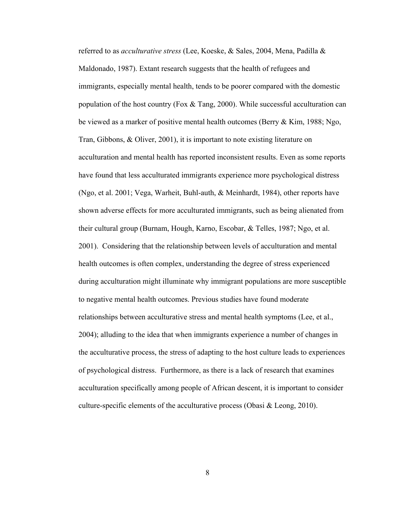referred to as *acculturative stress* (Lee, Koeske, & Sales, 2004, Mena, Padilla & Maldonado, 1987). Extant research suggests that the health of refugees and immigrants, especially mental health, tends to be poorer compared with the domestic population of the host country (Fox & Tang, 2000). While successful acculturation can be viewed as a marker of positive mental health outcomes (Berry & Kim, 1988; Ngo, Tran, Gibbons, & Oliver, 2001), it is important to note existing literature on acculturation and mental health has reported inconsistent results. Even as some reports have found that less acculturated immigrants experience more psychological distress (Ngo, et al. 2001; Vega, Warheit, Buhl-auth, & Meinhardt, 1984), other reports have shown adverse effects for more acculturated immigrants, such as being alienated from their cultural group (Burnam, Hough, Karno, Escobar, & Telles, 1987; Ngo, et al. 2001). Considering that the relationship between levels of acculturation and mental health outcomes is often complex, understanding the degree of stress experienced during acculturation might illuminate why immigrant populations are more susceptible to negative mental health outcomes. Previous studies have found moderate relationships between acculturative stress and mental health symptoms (Lee, et al., 2004); alluding to the idea that when immigrants experience a number of changes in the acculturative process, the stress of adapting to the host culture leads to experiences of psychological distress. Furthermore, as there is a lack of research that examines acculturation specifically among people of African descent, it is important to consider culture-specific elements of the acculturative process (Obasi & Leong, 2010).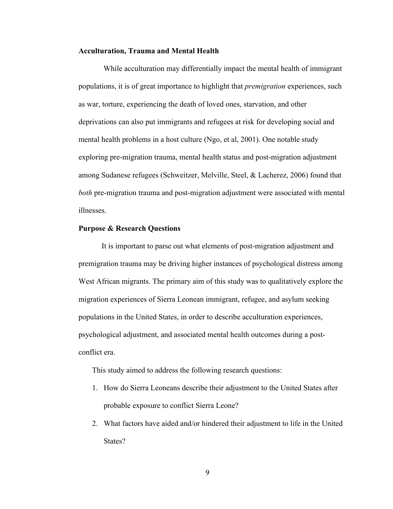#### **Acculturation, Trauma and Mental Health**

While acculturation may differentially impact the mental health of immigrant populations, it is of great importance to highlight that *premigration* experiences, such as war, torture, experiencing the death of loved ones, starvation, and other deprivations can also put immigrants and refugees at risk for developing social and mental health problems in a host culture (Ngo, et al, 2001). One notable study exploring pre-migration trauma, mental health status and post-migration adjustment among Sudanese refugees (Schweitzer, Melville, Steel, & Lacherez, 2006) found that *both* pre-migration trauma and post-migration adjustment were associated with mental illnesses.

#### **Purpose & Research Questions**

It is important to parse out what elements of post-migration adjustment and premigration trauma may be driving higher instances of psychological distress among West African migrants. The primary aim of this study was to qualitatively explore the migration experiences of Sierra Leonean immigrant, refugee, and asylum seeking populations in the United States, in order to describe acculturation experiences, psychological adjustment, and associated mental health outcomes during a postconflict era.

This study aimed to address the following research questions:

- 1. How do Sierra Leoneans describe their adjustment to the United States after probable exposure to conflict Sierra Leone?
- 2. What factors have aided and/or hindered their adjustment to life in the United States?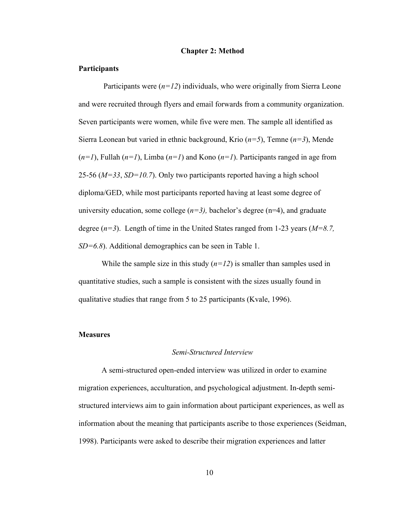#### **Chapter 2: Method**

#### **Participants**

Participants were  $(n=12)$  individuals, who were originally from Sierra Leone and were recruited through flyers and email forwards from a community organization. Seven participants were women, while five were men. The sample all identified as Sierra Leonean but varied in ethnic background, Krio (*n=5*), Temne (*n=3*), Mende  $(n=1)$ , Fullah  $(n=1)$ , Limba  $(n=1)$  and Kono  $(n=1)$ . Participants ranged in age from 25-56 (*M=33*, *SD=10.7*). Only two participants reported having a high school diploma/GED, while most participants reported having at least some degree of university education, some college  $(n=3)$ , bachelor's degree  $(n=4)$ , and graduate degree (*n=3*). Length of time in the United States ranged from 1-23 years (*M=8.7, SD=6.8*). Additional demographics can be seen in Table 1.

While the sample size in this study  $(n=12)$  is smaller than samples used in quantitative studies, such a sample is consistent with the sizes usually found in qualitative studies that range from 5 to 25 participants (Kvale, 1996).

#### **Measures**

#### *Semi-Structured Interview*

A semi-structured open-ended interview was utilized in order to examine migration experiences, acculturation, and psychological adjustment. In-depth semistructured interviews aim to gain information about participant experiences, as well as information about the meaning that participants ascribe to those experiences (Seidman, 1998). Participants were asked to describe their migration experiences and latter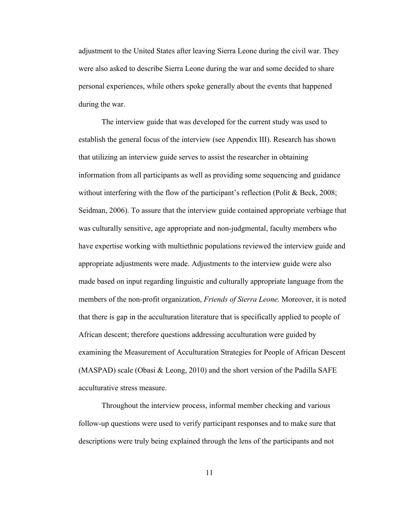adjustment to the United States after leaving Sierra Leone during the civil war. They were also asked to describe Sierra Leone during the war and some decided to share personal experiences, while others spoke generally about the events that happened during the war.

The interview guide that was developed for the current study was used to establish the general focus of the interview (see Appendix III). Research has shown that utilizing an interview guide serves to assist the researcher in obtaining information from all participants as well as providing some sequencing and guidance without interfering with the flow of the participant's reflection (Polit & Beck, 2008; Seidman, 2006). To assure that the interview guide contained appropriate verbiage that was culturally sensitive, age appropriate and non-judgmental, faculty members who have expertise working with multiethnic populations reviewed the interview guide and appropriate adjustments were made. Adjustments to the interview guide were also made based on input regarding linguistic and culturally appropriate language from the members of the non-profit organization, *Friends of Sierra Leone.* Moreover, it is noted that there is gap in the acculturation literature that is specifically applied to people of African descent; therefore questions addressing acculturation were guided by examining the Measurement of Acculturation Strategies for People of African Descent (MASPAD) scale (Obasi  $& Leong, 2010$ ) and the short version of the Padilla SAFE acculturative stress measure.

Throughout the interview process, informal member checking and various follow-up questions were used to verify participant responses and to make sure that descriptions were truly being explained through the lens of the participants and not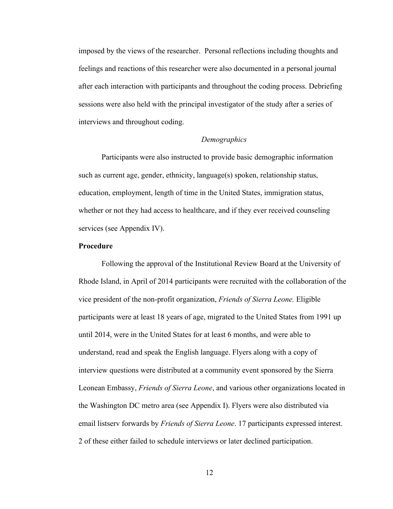imposed by the views of the researcher. Personal reflections including thoughts and feelings and reactions of this researcher were also documented in a personal journal after each interaction with participants and throughout the coding process. Debriefing sessions were also held with the principal investigator of the study after a series of interviews and throughout coding.

### *Demographics*

Participants were also instructed to provide basic demographic information such as current age, gender, ethnicity, language(s) spoken, relationship status, education, employment, length of time in the United States, immigration status, whether or not they had access to healthcare, and if they ever received counseling services (see Appendix IV).

### **Procedure**

Following the approval of the Institutional Review Board at the University of Rhode Island, in April of 2014 participants were recruited with the collaboration of the vice president of the non-profit organization, *Friends of Sierra Leone.* Eligible participants were at least 18 years of age, migrated to the United States from 1991 up until 2014, were in the United States for at least 6 months, and were able to understand, read and speak the English language. Flyers along with a copy of interview questions were distributed at a community event sponsored by the Sierra Leonean Embassy, *Friends of Sierra Leone*, and various other organizations located in the Washington DC metro area (see Appendix I). Flyers were also distributed via email listserv forwards by *Friends of Sierra Leone*. 17 participants expressed interest. 2 of these either failed to schedule interviews or later declined participation.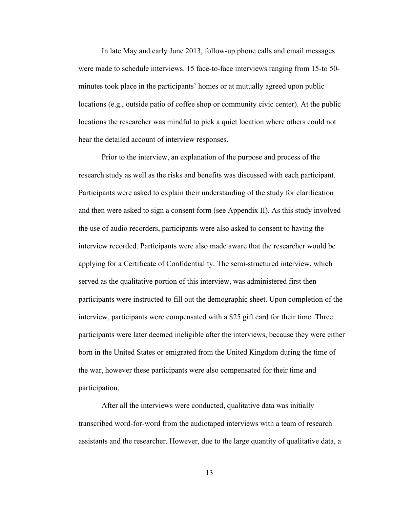In late May and early June 2013, follow-up phone calls and email messages were made to schedule interviews. 15 face-to-face interviews ranging from 15-to 50 minutes took place in the participants' homes or at mutually agreed upon public locations (e.g., outside patio of coffee shop or community civic center). At the public locations the researcher was mindful to pick a quiet location where others could not hear the detailed account of interview responses.

Prior to the interview, an explanation of the purpose and process of the research study as well as the risks and benefits was discussed with each participant. Participants were asked to explain their understanding of the study for clarification and then were asked to sign a consent form (see Appendix II). As this study involved the use of audio recorders, participants were also asked to consent to having the interview recorded. Participants were also made aware that the researcher would be applying for a Certificate of Confidentiality. The semi-structured interview, which served as the qualitative portion of this interview, was administered first then participants were instructed to fill out the demographic sheet. Upon completion of the interview, participants were compensated with a \$25 gift card for their time. Three participants were later deemed ineligible after the interviews, because they were either born in the United States or emigrated from the United Kingdom during the time of the war, however these participants were also compensated for their time and participation.

After all the interviews were conducted, qualitative data was initially transcribed word-for-word from the audiotaped interviews with a team of research assistants and the researcher. However, due to the large quantity of qualitative data, a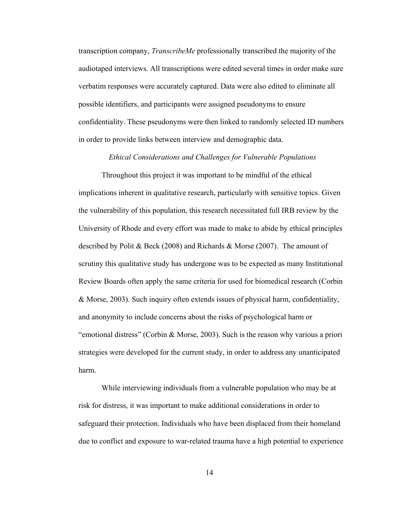transcription company, *TranscribeMe* professionally transcribed the majority of the audiotaped interviews. All transcriptions were edited several times in order make sure verbatim responses were accurately captured. Data were also edited to eliminate all possible identifiers, and participants were assigned pseudonyms to ensure confidentiality. These pseudonyms were then linked to randomly selected ID numbers in order to provide links between interview and demographic data.

### *Ethical Considerations and Challenges for Vulnerable Populations*

Throughout this project it was important to be mindful of the ethical implications inherent in qualitative research, particularly with sensitive topics. Given the vulnerability of this population, this research necessitated full IRB review by the University of Rhode and every effort was made to make to abide by ethical principles described by Polit & Beck (2008) and Richards & Morse (2007). The amount of scrutiny this qualitative study has undergone was to be expected as many Institutional Review Boards often apply the same criteria for used for biomedical research (Corbin & Morse, 2003). Such inquiry often extends issues of physical harm, confidentiality, and anonymity to include concerns about the risks of psychological harm or "emotional distress" (Corbin & Morse, 2003). Such is the reason why various a priori strategies were developed for the current study, in order to address any unanticipated harm.

While interviewing individuals from a vulnerable population who may be at risk for distress, it was important to make additional considerations in order to safeguard their protection. Individuals who have been displaced from their homeland due to conflict and exposure to war-related trauma have a high potential to experience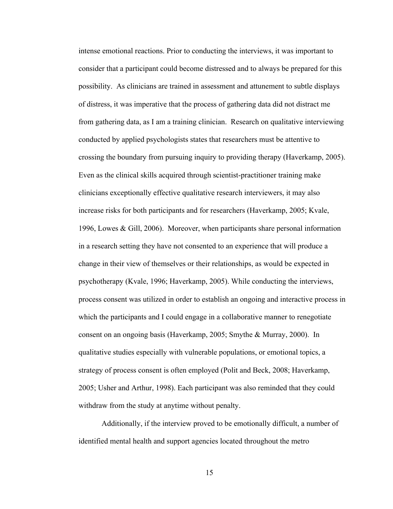intense emotional reactions. Prior to conducting the interviews, it was important to consider that a participant could become distressed and to always be prepared for this possibility. As clinicians are trained in assessment and attunement to subtle displays of distress, it was imperative that the process of gathering data did not distract me from gathering data, as I am a training clinician. Research on qualitative interviewing conducted by applied psychologists states that researchers must be attentive to crossing the boundary from pursuing inquiry to providing therapy (Haverkamp, 2005). Even as the clinical skills acquired through scientist-practitioner training make clinicians exceptionally effective qualitative research interviewers, it may also increase risks for both participants and for researchers (Haverkamp, 2005; Kvale, 1996, Lowes & Gill, 2006). Moreover, when participants share personal information in a research setting they have not consented to an experience that will produce a change in their view of themselves or their relationships, as would be expected in psychotherapy (Kvale, 1996; Haverkamp, 2005). While conducting the interviews, process consent was utilized in order to establish an ongoing and interactive process in which the participants and I could engage in a collaborative manner to renegotiate consent on an ongoing basis (Haverkamp, 2005; Smythe & Murray, 2000). In qualitative studies especially with vulnerable populations, or emotional topics, a strategy of process consent is often employed (Polit and Beck, 2008; Haverkamp, 2005; Usher and Arthur, 1998). Each participant was also reminded that they could withdraw from the study at anytime without penalty.

Additionally, if the interview proved to be emotionally difficult, a number of identified mental health and support agencies located throughout the metro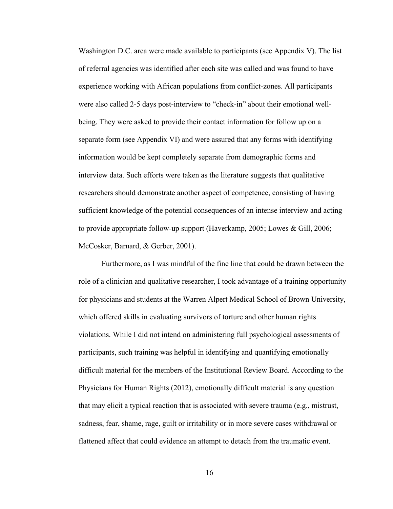Washington D.C. area were made available to participants (see Appendix V). The list of referral agencies was identified after each site was called and was found to have experience working with African populations from conflict-zones. All participants were also called 2-5 days post-interview to "check-in" about their emotional wellbeing. They were asked to provide their contact information for follow up on a separate form (see Appendix VI) and were assured that any forms with identifying information would be kept completely separate from demographic forms and interview data. Such efforts were taken as the literature suggests that qualitative researchers should demonstrate another aspect of competence, consisting of having sufficient knowledge of the potential consequences of an intense interview and acting to provide appropriate follow-up support (Haverkamp, 2005; Lowes & Gill, 2006; McCosker, Barnard, & Gerber, 2001).

Furthermore, as I was mindful of the fine line that could be drawn between the role of a clinician and qualitative researcher, I took advantage of a training opportunity for physicians and students at the Warren Alpert Medical School of Brown University, which offered skills in evaluating survivors of torture and other human rights violations. While I did not intend on administering full psychological assessments of participants, such training was helpful in identifying and quantifying emotionally difficult material for the members of the Institutional Review Board. According to the Physicians for Human Rights (2012), emotionally difficult material is any question that may elicit a typical reaction that is associated with severe trauma (e.g., mistrust, sadness, fear, shame, rage, guilt or irritability or in more severe cases withdrawal or flattened affect that could evidence an attempt to detach from the traumatic event.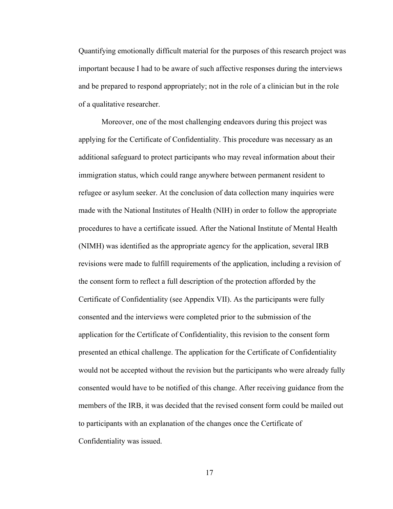Quantifying emotionally difficult material for the purposes of this research project was important because I had to be aware of such affective responses during the interviews and be prepared to respond appropriately; not in the role of a clinician but in the role of a qualitative researcher.

Moreover, one of the most challenging endeavors during this project was applying for the Certificate of Confidentiality. This procedure was necessary as an additional safeguard to protect participants who may reveal information about their immigration status, which could range anywhere between permanent resident to refugee or asylum seeker. At the conclusion of data collection many inquiries were made with the National Institutes of Health (NIH) in order to follow the appropriate procedures to have a certificate issued. After the National Institute of Mental Health (NIMH) was identified as the appropriate agency for the application, several IRB revisions were made to fulfill requirements of the application, including a revision of the consent form to reflect a full description of the protection afforded by the Certificate of Confidentiality (see Appendix VII). As the participants were fully consented and the interviews were completed prior to the submission of the application for the Certificate of Confidentiality, this revision to the consent form presented an ethical challenge. The application for the Certificate of Confidentiality would not be accepted without the revision but the participants who were already fully consented would have to be notified of this change. After receiving guidance from the members of the IRB, it was decided that the revised consent form could be mailed out to participants with an explanation of the changes once the Certificate of Confidentiality was issued.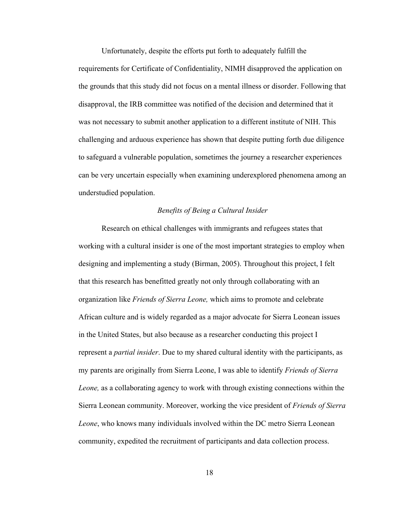Unfortunately, despite the efforts put forth to adequately fulfill the requirements for Certificate of Confidentiality, NIMH disapproved the application on the grounds that this study did not focus on a mental illness or disorder. Following that disapproval, the IRB committee was notified of the decision and determined that it was not necessary to submit another application to a different institute of NIH. This challenging and arduous experience has shown that despite putting forth due diligence to safeguard a vulnerable population, sometimes the journey a researcher experiences can be very uncertain especially when examining underexplored phenomena among an understudied population.

### *Benefits of Being a Cultural Insider*

Research on ethical challenges with immigrants and refugees states that working with a cultural insider is one of the most important strategies to employ when designing and implementing a study (Birman, 2005). Throughout this project, I felt that this research has benefitted greatly not only through collaborating with an organization like *Friends of Sierra Leone,* which aims to promote and celebrate African culture and is widely regarded as a major advocate for Sierra Leonean issues in the United States, but also because as a researcher conducting this project I represent a *partial insider*. Due to my shared cultural identity with the participants, as my parents are originally from Sierra Leone, I was able to identify *Friends of Sierra Leone,* as a collaborating agency to work with through existing connections within the Sierra Leonean community. Moreover, working the vice president of *Friends of Sierra Leone*, who knows many individuals involved within the DC metro Sierra Leonean community, expedited the recruitment of participants and data collection process.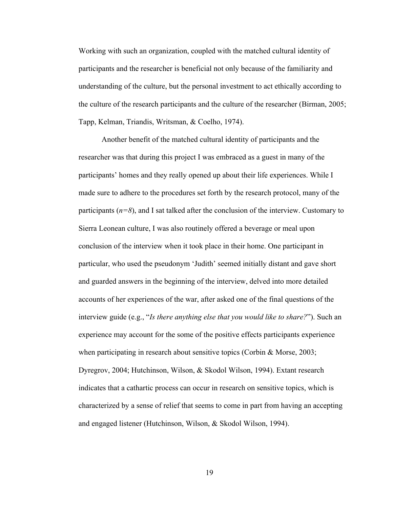Working with such an organization, coupled with the matched cultural identity of participants and the researcher is beneficial not only because of the familiarity and understanding of the culture, but the personal investment to act ethically according to the culture of the research participants and the culture of the researcher (Birman, 2005; Tapp, Kelman, Triandis, Writsman, & Coelho, 1974).

Another benefit of the matched cultural identity of participants and the researcher was that during this project I was embraced as a guest in many of the participants' homes and they really opened up about their life experiences. While I made sure to adhere to the procedures set forth by the research protocol, many of the participants  $(n=8)$ , and I sat talked after the conclusion of the interview. Customary to Sierra Leonean culture, I was also routinely offered a beverage or meal upon conclusion of the interview when it took place in their home. One participant in particular, who used the pseudonym 'Judith' seemed initially distant and gave short and guarded answers in the beginning of the interview, delved into more detailed accounts of her experiences of the war, after asked one of the final questions of the interview guide (e.g., "*Is there anything else that you would like to share?*"). Such an experience may account for the some of the positive effects participants experience when participating in research about sensitive topics (Corbin & Morse, 2003; Dyregrov, 2004; Hutchinson, Wilson, & Skodol Wilson, 1994). Extant research indicates that a cathartic process can occur in research on sensitive topics, which is characterized by a sense of relief that seems to come in part from having an accepting and engaged listener (Hutchinson, Wilson, & Skodol Wilson, 1994).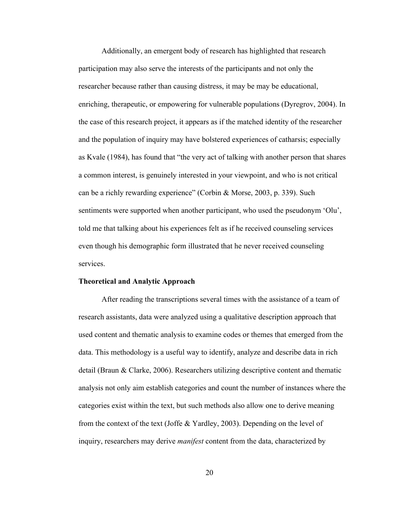Additionally, an emergent body of research has highlighted that research participation may also serve the interests of the participants and not only the researcher because rather than causing distress, it may be may be educational, enriching, therapeutic, or empowering for vulnerable populations (Dyregrov, 2004). In the case of this research project, it appears as if the matched identity of the researcher and the population of inquiry may have bolstered experiences of catharsis; especially as Kvale (1984), has found that "the very act of talking with another person that shares a common interest, is genuinely interested in your viewpoint, and who is not critical can be a richly rewarding experience" (Corbin & Morse, 2003, p. 339). Such sentiments were supported when another participant, who used the pseudonym 'Olu', told me that talking about his experiences felt as if he received counseling services even though his demographic form illustrated that he never received counseling services.

#### **Theoretical and Analytic Approach**

After reading the transcriptions several times with the assistance of a team of research assistants, data were analyzed using a qualitative description approach that used content and thematic analysis to examine codes or themes that emerged from the data. This methodology is a useful way to identify, analyze and describe data in rich detail (Braun & Clarke, 2006). Researchers utilizing descriptive content and thematic analysis not only aim establish categories and count the number of instances where the categories exist within the text, but such methods also allow one to derive meaning from the context of the text (Joffe & Yardley, 2003). Depending on the level of inquiry, researchers may derive *manifest* content from the data, characterized by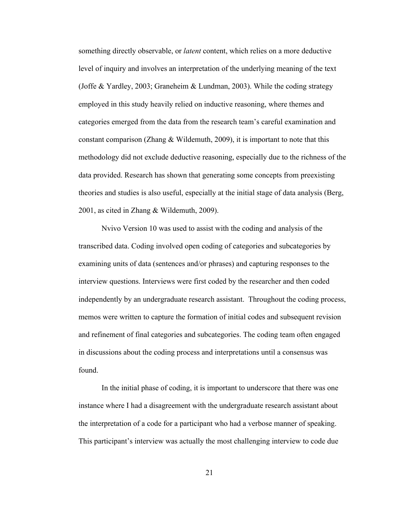something directly observable, or *latent* content, which relies on a more deductive level of inquiry and involves an interpretation of the underlying meaning of the text (Joffe & Yardley, 2003; Graneheim & Lundman, 2003). While the coding strategy employed in this study heavily relied on inductive reasoning, where themes and categories emerged from the data from the research team's careful examination and constant comparison (Zhang  $&$  Wildemuth, 2009), it is important to note that this methodology did not exclude deductive reasoning, especially due to the richness of the data provided. Research has shown that generating some concepts from preexisting theories and studies is also useful, especially at the initial stage of data analysis (Berg, 2001, as cited in Zhang & Wildemuth, 2009).

Nvivo Version 10 was used to assist with the coding and analysis of the transcribed data. Coding involved open coding of categories and subcategories by examining units of data (sentences and/or phrases) and capturing responses to the interview questions. Interviews were first coded by the researcher and then coded independently by an undergraduate research assistant. Throughout the coding process, memos were written to capture the formation of initial codes and subsequent revision and refinement of final categories and subcategories. The coding team often engaged in discussions about the coding process and interpretations until a consensus was found.

In the initial phase of coding, it is important to underscore that there was one instance where I had a disagreement with the undergraduate research assistant about the interpretation of a code for a participant who had a verbose manner of speaking. This participant's interview was actually the most challenging interview to code due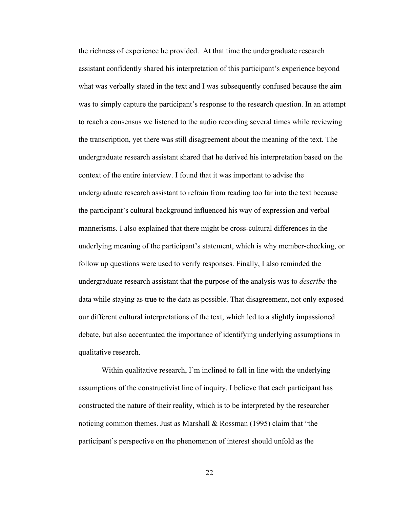the richness of experience he provided. At that time the undergraduate research assistant confidently shared his interpretation of this participant's experience beyond what was verbally stated in the text and I was subsequently confused because the aim was to simply capture the participant's response to the research question. In an attempt to reach a consensus we listened to the audio recording several times while reviewing the transcription, yet there was still disagreement about the meaning of the text. The undergraduate research assistant shared that he derived his interpretation based on the context of the entire interview. I found that it was important to advise the undergraduate research assistant to refrain from reading too far into the text because the participant's cultural background influenced his way of expression and verbal mannerisms. I also explained that there might be cross-cultural differences in the underlying meaning of the participant's statement, which is why member-checking, or follow up questions were used to verify responses. Finally, I also reminded the undergraduate research assistant that the purpose of the analysis was to *describe* the data while staying as true to the data as possible. That disagreement, not only exposed our different cultural interpretations of the text, which led to a slightly impassioned debate, but also accentuated the importance of identifying underlying assumptions in qualitative research.

Within qualitative research, I'm inclined to fall in line with the underlying assumptions of the constructivist line of inquiry. I believe that each participant has constructed the nature of their reality, which is to be interpreted by the researcher noticing common themes. Just as Marshall & Rossman (1995) claim that "the participant's perspective on the phenomenon of interest should unfold as the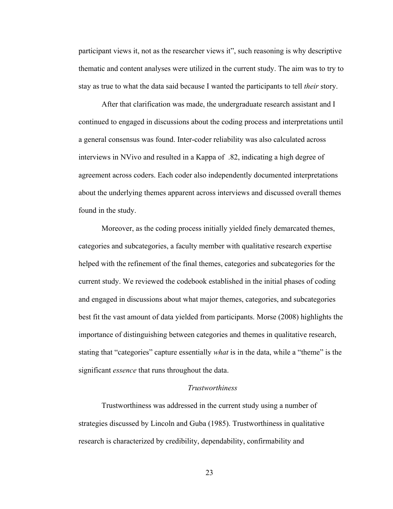participant views it, not as the researcher views it", such reasoning is why descriptive thematic and content analyses were utilized in the current study. The aim was to try to stay as true to what the data said because I wanted the participants to tell *their* story.

After that clarification was made, the undergraduate research assistant and I continued to engaged in discussions about the coding process and interpretations until a general consensus was found. Inter-coder reliability was also calculated across interviews in NVivo and resulted in a Kappa of .82, indicating a high degree of agreement across coders. Each coder also independently documented interpretations about the underlying themes apparent across interviews and discussed overall themes found in the study.

Moreover, as the coding process initially yielded finely demarcated themes, categories and subcategories, a faculty member with qualitative research expertise helped with the refinement of the final themes, categories and subcategories for the current study. We reviewed the codebook established in the initial phases of coding and engaged in discussions about what major themes, categories, and subcategories best fit the vast amount of data yielded from participants. Morse (2008) highlights the importance of distinguishing between categories and themes in qualitative research, stating that "categories" capture essentially *what* is in the data, while a "theme" is the significant *essence* that runs throughout the data.

### *Trustworthiness*

Trustworthiness was addressed in the current study using a number of strategies discussed by Lincoln and Guba (1985). Trustworthiness in qualitative research is characterized by credibility, dependability, confirmability and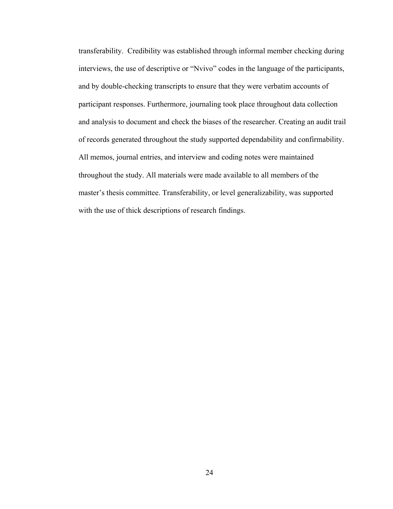transferability. Credibility was established through informal member checking during interviews, the use of descriptive or "Nvivo" codes in the language of the participants, and by double-checking transcripts to ensure that they were verbatim accounts of participant responses. Furthermore, journaling took place throughout data collection and analysis to document and check the biases of the researcher. Creating an audit trail of records generated throughout the study supported dependability and confirmability. All memos, journal entries, and interview and coding notes were maintained throughout the study. All materials were made available to all members of the master's thesis committee. Transferability, or level generalizability, was supported with the use of thick descriptions of research findings.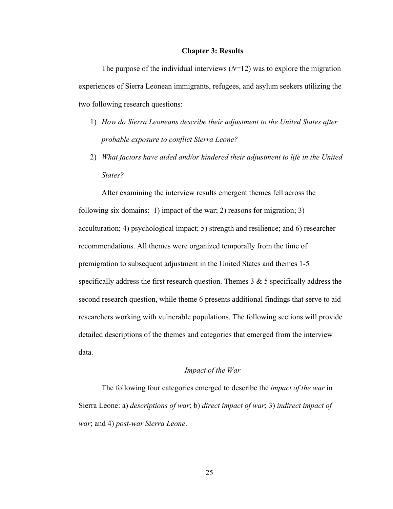#### **Chapter 3: Results**

The purpose of the individual interviews  $(N=12)$  was to explore the migration experiences of Sierra Leonean immigrants, refugees, and asylum seekers utilizing the two following research questions:

- 1) *How do Sierra Leoneans describe their adjustment to the United States after probable exposure to conflict Sierra Leone?*
- 2) *What factors have aided and/or hindered their adjustment to life in the United States?*

After examining the interview results emergent themes fell across the following six domains: 1) impact of the war; 2) reasons for migration; 3) acculturation; 4) psychological impact; 5) strength and resilience; and 6) researcher recommendations. All themes were organized temporally from the time of premigration to subsequent adjustment in the United States and themes 1-5 specifically address the first research question. Themes  $3 \& 5$  specifically address the second research question, while theme 6 presents additional findings that serve to aid researchers working with vulnerable populations. The following sections will provide detailed descriptions of the themes and categories that emerged from the interview data.

### *Impact of the War*

The following four categories emerged to describe the *impact of the war* in Sierra Leone: a) *descriptions of war*; b) *direct impact of war*; 3) *indirect impact of war*; and 4) *post-war Sierra Leone*.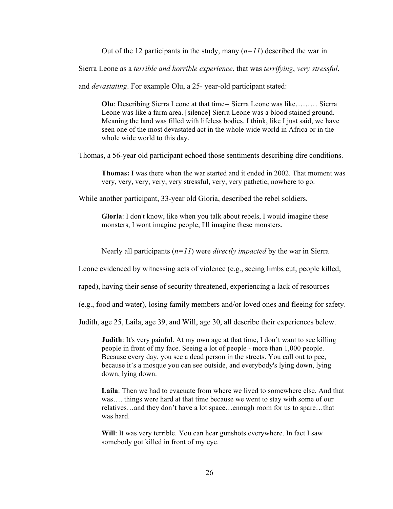Out of the 12 participants in the study, many  $(n=11)$  described the war in

Sierra Leone as a *terrible and horrible experience*, that was *terrifying*, *very stressful*,

and *devastating*. For example Olu, a 25- year-old participant stated:

**Olu**: Describing Sierra Leone at that time-- Sierra Leone was like……… Sierra Leone was like a farm area. [silence] Sierra Leone was a blood stained ground. Meaning the land was filled with lifeless bodies. I think, like I just said, we have seen one of the most devastated act in the whole wide world in Africa or in the whole wide world to this day.

Thomas, a 56-year old participant echoed those sentiments describing dire conditions.

**Thomas:** I was there when the war started and it ended in 2002. That moment was very, very, very, very, very stressful, very, very pathetic, nowhere to go.

While another participant, 33-year old Gloria, described the rebel soldiers.

**Gloria**: I don't know, like when you talk about rebels, I would imagine these monsters, I wont imagine people, I'll imagine these monsters.

Nearly all participants (*n=11*) were *directly impacted* by the war in Sierra

Leone evidenced by witnessing acts of violence (e.g., seeing limbs cut, people killed,

raped), having their sense of security threatened, experiencing a lack of resources

(e.g., food and water), losing family members and/or loved ones and fleeing for safety.

Judith, age 25, Laila, age 39, and Will, age 30, all describe their experiences below.

**Judith**: It's very painful. At my own age at that time, I don't want to see killing people in front of my face. Seeing a lot of people - more than 1,000 people. Because every day, you see a dead person in the streets. You call out to pee, because it's a mosque you can see outside, and everybody's lying down, lying down, lying down.

**Laila**: Then we had to evacuate from where we lived to somewhere else. And that was…. things were hard at that time because we went to stay with some of our relatives…and they don't have a lot space…enough room for us to spare…that was hard.

**Will**: It was very terrible. You can hear gunshots everywhere. In fact I saw somebody got killed in front of my eye.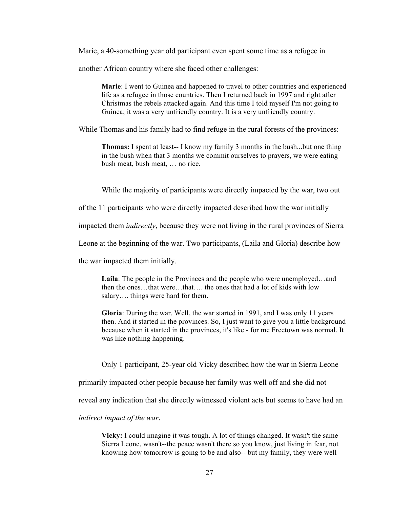Marie, a 40-something year old participant even spent some time as a refugee in

another African country where she faced other challenges:

**Marie**: I went to Guinea and happened to travel to other countries and experienced life as a refugee in those countries. Then I returned back in 1997 and right after Christmas the rebels attacked again. And this time I told myself I'm not going to Guinea; it was a very unfriendly country. It is a very unfriendly country.

While Thomas and his family had to find refuge in the rural forests of the provinces:

**Thomas:** I spent at least-- I know my family 3 months in the bush...but one thing in the bush when that 3 months we commit ourselves to prayers, we were eating bush meat, bush meat, … no rice.

While the majority of participants were directly impacted by the war, two out

of the 11 participants who were directly impacted described how the war initially

impacted them *indirectly*, because they were not living in the rural provinces of Sierra

Leone at the beginning of the war. Two participants, (Laila and Gloria) describe how

the war impacted them initially.

**Laila**: The people in the Provinces and the people who were unemployed…and then the ones…that were…that…. the ones that had a lot of kids with low salary.... things were hard for them.

**Gloria**: During the war. Well, the war started in 1991, and I was only 11 years then. And it started in the provinces. So, I just want to give you a little background because when it started in the provinces, it's like - for me Freetown was normal. It was like nothing happening.

Only 1 participant, 25-year old Vicky described how the war in Sierra Leone

primarily impacted other people because her family was well off and she did not

reveal any indication that she directly witnessed violent acts but seems to have had an

*indirect impact of the war*.

**Vicky:** I could imagine it was tough. A lot of things changed. It wasn't the same Sierra Leone, wasn't--the peace wasn't there so you know, just living in fear, not knowing how tomorrow is going to be and also-- but my family, they were well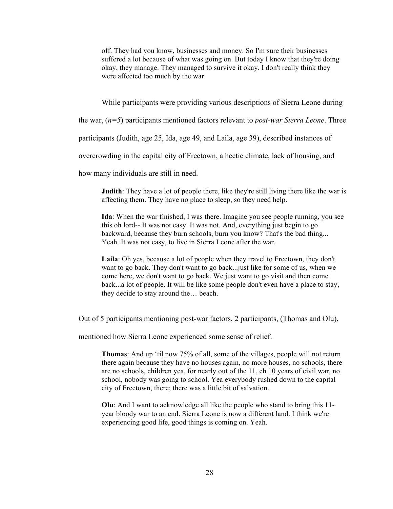off. They had you know, businesses and money. So I'm sure their businesses suffered a lot because of what was going on. But today I know that they're doing okay, they manage. They managed to survive it okay. I don't really think they were affected too much by the war.

While participants were providing various descriptions of Sierra Leone during

the war, (*n=5*) participants mentioned factors relevant to *post-war Sierra Leone*. Three

participants (Judith, age 25, Ida, age 49, and Laila, age 39), described instances of

overcrowding in the capital city of Freetown, a hectic climate, lack of housing, and

how many individuals are still in need.

**Judith**: They have a lot of people there, like they're still living there like the war is affecting them. They have no place to sleep, so they need help.

**Ida**: When the war finished, I was there. Imagine you see people running, you see this oh lord-- It was not easy. It was not. And, everything just begin to go backward, because they burn schools, burn you know? That's the bad thing... Yeah. It was not easy, to live in Sierra Leone after the war.

**Laila**: Oh yes, because a lot of people when they travel to Freetown, they don't want to go back. They don't want to go back...just like for some of us, when we come here, we don't want to go back. We just want to go visit and then come back...a lot of people. It will be like some people don't even have a place to stay, they decide to stay around the… beach.

Out of 5 participants mentioning post-war factors, 2 participants, (Thomas and Olu),

mentioned how Sierra Leone experienced some sense of relief.

**Thomas**: And up 'til now 75% of all, some of the villages, people will not return there again because they have no houses again, no more houses, no schools, there are no schools, children yea, for nearly out of the 11, eh 10 years of civil war, no school, nobody was going to school. Yea everybody rushed down to the capital city of Freetown, there; there was a little bit of salvation.

**Olu**: And I want to acknowledge all like the people who stand to bring this 11 year bloody war to an end. Sierra Leone is now a different land. I think we're experiencing good life, good things is coming on. Yeah.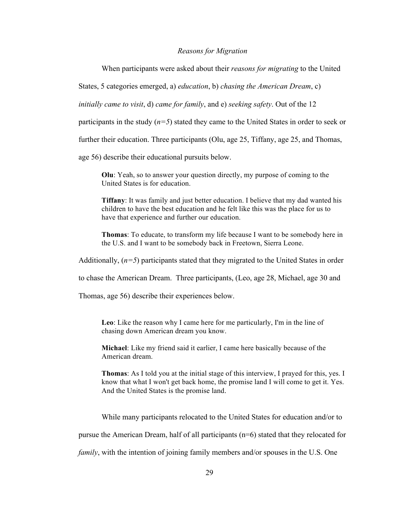# *Reasons for Migration*

When participants were asked about their *reasons for migrating* to the United

States, 5 categories emerged, a) *education*, b) *chasing the American Dream*, c)

*initially came to visit*, d) *came for family*, and e) *seeking safety*. Out of the 12

participants in the study (*n=5*) stated they came to the United States in order to seek or

further their education. Three participants (Olu, age 25, Tiffany, age 25, and Thomas,

age 56) describe their educational pursuits below.

**Olu**: Yeah, so to answer your question directly, my purpose of coming to the United States is for education.

**Tiffany**: It was family and just better education. I believe that my dad wanted his children to have the best education and he felt like this was the place for us to have that experience and further our education.

**Thomas**: To educate, to transform my life because I want to be somebody here in the U.S. and I want to be somebody back in Freetown, Sierra Leone.

Additionally, (*n=5*) participants stated that they migrated to the United States in order

to chase the American Dream. Three participants, (Leo, age 28, Michael, age 30 and

Thomas, age 56) describe their experiences below.

**Leo**: Like the reason why I came here for me particularly, I'm in the line of chasing down American dream you know.

**Michael**: Like my friend said it earlier, I came here basically because of the American dream.

**Thomas**: As I told you at the initial stage of this interview, I prayed for this, yes. I know that what I won't get back home, the promise land I will come to get it. Yes. And the United States is the promise land.

While many participants relocated to the United States for education and/or to

pursue the American Dream, half of all participants (n=6) stated that they relocated for

*family*, with the intention of joining family members and/or spouses in the U.S. One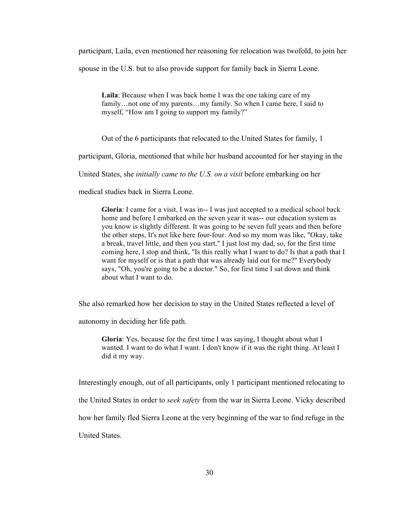participant, Laila, even mentioned her reasoning for relocation was twofold, to join her spouse in the U.S. but to also provide support for family back in Sierra Leone.

**Laila**: Because when I was back home I was the one taking care of my family...not one of my parents...my family. So when I came here, I said to myself, "How am I going to support my family?"

Out of the 6 participants that relocated to the United States for family, 1

participant, Gloria, mentioned that while her husband accounted for her staying in the

United States, she *initially came to the U.S. on a visit* before embarking on her

medical studies back in Sierra Leone.

**Gloria**: I came for a visit, I was in-- I was just accepted to a medical school back home and before I embarked on the seven year it was-- our education system as you know is slightly different. It was going to be seven full years and then before the other steps, It's not like here four-four. And so my mom was like, "Okay, take a break, travel little, and then you start." I just lost my dad, so, for the first time coming here, I stop and think, "Is this really what I want to do? Is that a path that I want for myself or is that a path that was already laid out for me?" Everybody says, "Oh, you're going to be a doctor." So, for first time I sat down and think about what I want to do.

She also remarked how her decision to stay in the United States reflected a level of

autonomy in deciding her life path.

**Gloria**: Yes, because for the first time I was saying, I thought about what I wanted. I want to do what I want. I don't know if it was the right thing. At least I did it my way.

Interestingly enough, out of all participants, only 1 participant mentioned relocating to the United States in order to *seek safety* from the war in Sierra Leone. Vicky described how her family fled Sierra Leone at the very beginning of the war to find refuge in the United States.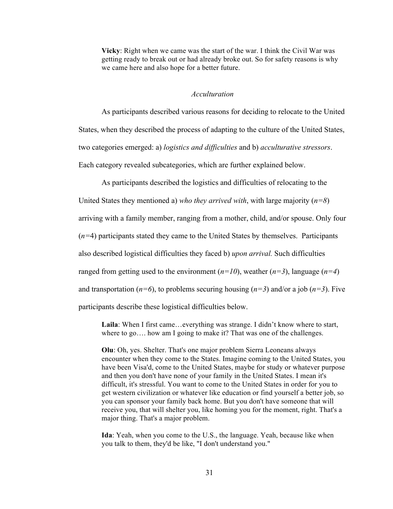**Vicky**: Right when we came was the start of the war. I think the Civil War was getting ready to break out or had already broke out. So for safety reasons is why we came here and also hope for a better future.

# *Acculturation*

As participants described various reasons for deciding to relocate to the United States, when they described the process of adapting to the culture of the United States, two categories emerged: a) *logistics and difficulties* and b) *acculturative stressors*. Each category revealed subcategories, which are further explained below.

As participants described the logistics and difficulties of relocating to the

United States they mentioned a) *who they arrived with*, with large majority (*n=8*) arriving with a family member, ranging from a mother, child, and/or spouse. Only four (*n=*4) participants stated they came to the United States by themselves. Participants also described logistical difficulties they faced b) *upon arrival.* Such difficulties ranged from getting used to the environment  $(n=10)$ , weather  $(n=3)$ , language  $(n=4)$ and transportation ( $n=6$ ), to problems securing housing ( $n=3$ ) and/or a job ( $n=3$ ). Five participants describe these logistical difficulties below.

Laila: When I first came...everything was strange. I didn't know where to start, where to go..., how am I going to make it? That was one of the challenges.

**Olu**: Oh, yes. Shelter. That's one major problem Sierra Leoneans always encounter when they come to the States. Imagine coming to the United States, you have been Visa'd, come to the United States, maybe for study or whatever purpose and then you don't have none of your family in the United States. I mean it's difficult, it's stressful. You want to come to the United States in order for you to get western civilization or whatever like education or find yourself a better job, so you can sponsor your family back home. But you don't have someone that will receive you, that will shelter you, like homing you for the moment, right. That's a major thing. That's a major problem.

**Ida**: Yeah, when you come to the U.S., the language. Yeah, because like when you talk to them, they'd be like, "I don't understand you."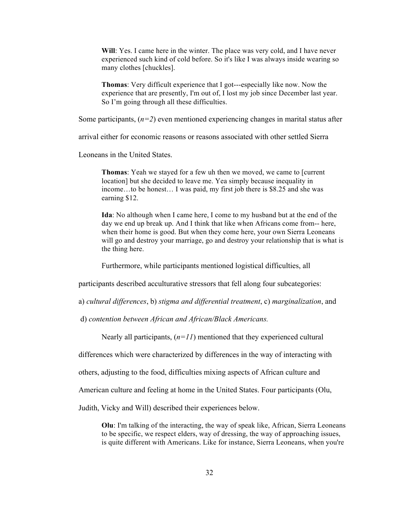**Will**: Yes. I came here in the winter. The place was very cold, and I have never experienced such kind of cold before. So it's like I was always inside wearing so many clothes [chuckles].

**Thomas**: Very difficult experience that I got---especially like now. Now the experience that are presently, I'm out of, I lost my job since December last year. So I'm going through all these difficulties.

Some participants,  $(n=2)$  even mentioned experiencing changes in marital status after

arrival either for economic reasons or reasons associated with other settled Sierra

Leoneans in the United States.

**Thomas**: Yeah we stayed for a few uh then we moved, we came to [current location] but she decided to leave me. Yea simply because inequality in income…to be honest… I was paid, my first job there is \$8.25 and she was earning \$12.

**Ida**: No although when I came here, I come to my husband but at the end of the day we end up break up. And I think that like when Africans come from-- here, when their home is good. But when they come here, your own Sierra Leoneans will go and destroy your marriage, go and destroy your relationship that is what is the thing here.

Furthermore, while participants mentioned logistical difficulties, all

participants described acculturative stressors that fell along four subcategories:

a) *cultural differences*, b) *stigma and differential treatment*, c) *marginalization*, and

d) *contention between African and African/Black Americans.*

Nearly all participants, (*n=11*) mentioned that they experienced cultural

differences which were characterized by differences in the way of interacting with

others, adjusting to the food, difficulties mixing aspects of African culture and

American culture and feeling at home in the United States. Four participants (Olu,

Judith, Vicky and Will) described their experiences below.

**Olu**: I'm talking of the interacting, the way of speak like, African, Sierra Leoneans to be specific, we respect elders, way of dressing, the way of approaching issues, is quite different with Americans. Like for instance, Sierra Leoneans, when you're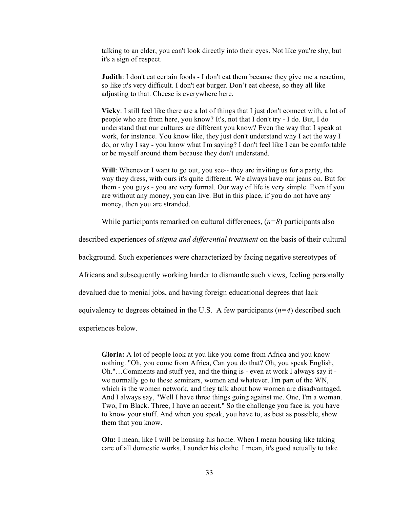talking to an elder, you can't look directly into their eyes. Not like you're shy, but it's a sign of respect.

**Judith**: I don't eat certain foods - I don't eat them because they give me a reaction, so like it's very difficult. I don't eat burger. Don't eat cheese, so they all like adjusting to that. Cheese is everywhere here.

**Vicky**: I still feel like there are a lot of things that I just don't connect with, a lot of people who are from here, you know? It's, not that I don't try - I do. But, I do understand that our cultures are different you know? Even the way that I speak at work, for instance. You know like, they just don't understand why I act the way I do, or why I say - you know what I'm saying? I don't feel like I can be comfortable or be myself around them because they don't understand.

**Will**: Whenever I want to go out, you see-- they are inviting us for a party, the way they dress, with ours it's quite different. We always have our jeans on. But for them - you guys - you are very formal. Our way of life is very simple. Even if you are without any money, you can live. But in this place, if you do not have any money, then you are stranded.

While participants remarked on cultural differences, (*n=8*) participants also

described experiences of *stigma and differential treatment* on the basis of their cultural

background. Such experiences were characterized by facing negative stereotypes of

Africans and subsequently working harder to dismantle such views, feeling personally

devalued due to menial jobs, and having foreign educational degrees that lack

equivalency to degrees obtained in the U.S. A few participants  $(n=4)$  described such

experiences below.

**Gloria:** A lot of people look at you like you come from Africa and you know nothing. "Oh, you come from Africa, Can you do that? Oh, you speak English, Oh."…Comments and stuff yea, and the thing is - even at work I always say it we normally go to these seminars, women and whatever. I'm part of the WN, which is the women network, and they talk about how women are disadvantaged. And I always say, "Well I have three things going against me. One, I'm a woman. Two, I'm Black. Three, I have an accent." So the challenge you face is, you have to know your stuff. And when you speak, you have to, as best as possible, show them that you know.

**Olu:** I mean, like I will be housing his home. When I mean housing like taking care of all domestic works. Launder his clothe. I mean, it's good actually to take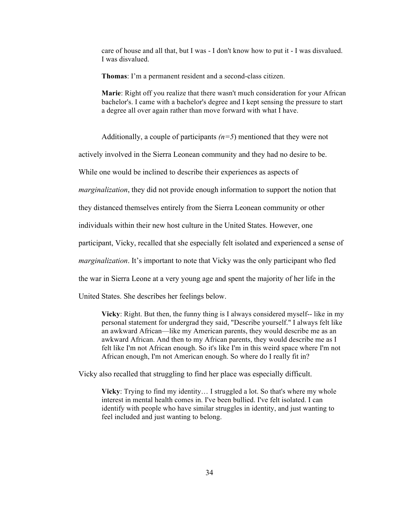care of house and all that, but I was - I don't know how to put it - I was disvalued. I was disvalued.

**Thomas**: I'm a permanent resident and a second-class citizen.

**Marie**: Right off you realize that there wasn't much consideration for your African bachelor's. I came with a bachelor's degree and I kept sensing the pressure to start a degree all over again rather than move forward with what I have.

Additionally, a couple of participants *(n=5*) mentioned that they were not

actively involved in the Sierra Leonean community and they had no desire to be.

While one would be inclined to describe their experiences as aspects of

*marginalization*, they did not provide enough information to support the notion that

they distanced themselves entirely from the Sierra Leonean community or other

individuals within their new host culture in the United States. However, one

participant, Vicky, recalled that she especially felt isolated and experienced a sense of

*marginalization*. It's important to note that Vicky was the only participant who fled

the war in Sierra Leone at a very young age and spent the majority of her life in the

United States. She describes her feelings below.

**Vicky**: Right. But then, the funny thing is I always considered myself-- like in my personal statement for undergrad they said, "Describe yourself." I always felt like an awkward African—like my American parents, they would describe me as an awkward African. And then to my African parents, they would describe me as I felt like I'm not African enough. So it's like I'm in this weird space where I'm not African enough, I'm not American enough. So where do I really fit in?

Vicky also recalled that struggling to find her place was especially difficult.

**Vicky**: Trying to find my identity… I struggled a lot. So that's where my whole interest in mental health comes in. I've been bullied. I've felt isolated. I can identify with people who have similar struggles in identity, and just wanting to feel included and just wanting to belong.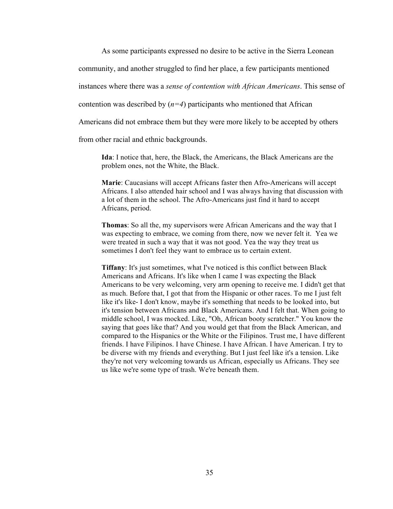As some participants expressed no desire to be active in the Sierra Leonean

community, and another struggled to find her place, a few participants mentioned

instances where there was a *sense of contention with African Americans*. This sense of

contention was described by  $(n=4)$  participants who mentioned that African

Americans did not embrace them but they were more likely to be accepted by others

from other racial and ethnic backgrounds.

**Ida**: I notice that, here, the Black, the Americans, the Black Americans are the problem ones, not the White, the Black.

**Marie**: Caucasians will accept Africans faster then Afro-Americans will accept Africans. I also attended hair school and I was always having that discussion with a lot of them in the school. The Afro-Americans just find it hard to accept Africans, period.

**Thomas**: So all the, my supervisors were African Americans and the way that I was expecting to embrace, we coming from there, now we never felt it. Yea we were treated in such a way that it was not good. Yea the way they treat us sometimes I don't feel they want to embrace us to certain extent.

**Tiffany**: It's just sometimes, what I've noticed is this conflict between Black Americans and Africans. It's like when I came I was expecting the Black Americans to be very welcoming, very arm opening to receive me. I didn't get that as much. Before that, I got that from the Hispanic or other races. To me I just felt like it's like- I don't know, maybe it's something that needs to be looked into, but it's tension between Africans and Black Americans. And I felt that. When going to middle school, I was mocked. Like, "Oh, African booty scratcher." You know the saying that goes like that? And you would get that from the Black American, and compared to the Hispanics or the White or the Filipinos. Trust me, I have different friends. I have Filipinos. I have Chinese. I have African. I have American. I try to be diverse with my friends and everything. But I just feel like it's a tension. Like they're not very welcoming towards us African, especially us Africans. They see us like we're some type of trash. We're beneath them.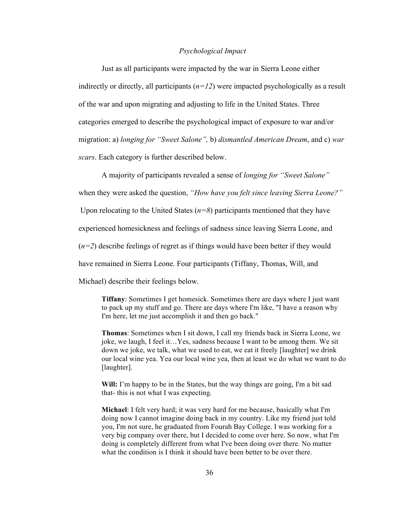# *Psychological Impact*

Just as all participants were impacted by the war in Sierra Leone either indirectly or directly, all participants  $(n=12)$  were impacted psychologically as a result of the war and upon migrating and adjusting to life in the United States. Three categories emerged to describe the psychological impact of exposure to war and/or migration: a) *longing for "Sweet Salone",* b) *dismantled American Dream*, and c) *war scars*. Each category is further described below.

A majority of participants revealed a sense of *longing for "Sweet Salone"* when they were asked the question, *"How have you felt since leaving Sierra Leone?"* Upon relocating to the United States  $(n=8)$  participants mentioned that they have experienced homesickness and feelings of sadness since leaving Sierra Leone, and  $(n=2)$  describe feelings of regret as if things would have been better if they would have remained in Sierra Leone. Four participants (Tiffany, Thomas, Will, and Michael) describe their feelings below.

**Tiffany**: Sometimes I get homesick. Sometimes there are days where I just want to pack up my stuff and go. There are days where I'm like, "I have a reason why I'm here, let me just accomplish it and then go back."

**Thomas**: Sometimes when I sit down, I call my friends back in Sierra Leone, we joke, we laugh, I feel it…Yes, sadness because I want to be among them. We sit down we joke, we talk, what we used to eat, we eat it freely [laughter] we drink our local wine yea. Yea our local wine yea, then at least we do what we want to do [laughter].

**Will:** I'm happy to be in the States, but the way things are going, I'm a bit sad that- this is not what I was expecting.

**Michael**: I felt very hard; it was very hard for me because, basically what I'm doing now I cannot imagine doing back in my country. Like my friend just told you, I'm not sure, he graduated from Fourah Bay College. I was working for a very big company over there, but I decided to come over here. So now, what I'm doing is completely different from what I've been doing over there. No matter what the condition is I think it should have been better to be over there.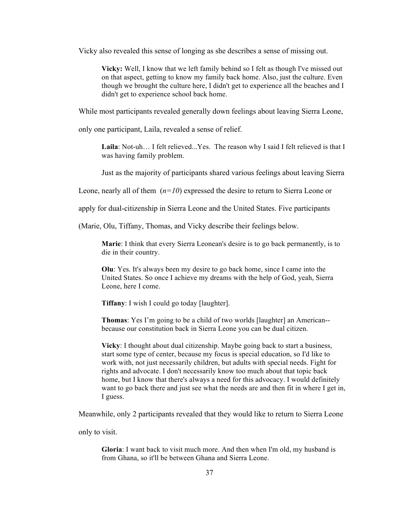Vicky also revealed this sense of longing as she describes a sense of missing out.

**Vicky:** Well, I know that we left family behind so I felt as though I've missed out on that aspect, getting to know my family back home. Also, just the culture. Even though we brought the culture here, I didn't get to experience all the beaches and I didn't get to experience school back home.

While most participants revealed generally down feelings about leaving Sierra Leone,

only one participant, Laila, revealed a sense of relief.

**Laila**: Not-uh… I felt relieved...Yes. The reason why I said I felt relieved is that I was having family problem.

Just as the majority of participants shared various feelings about leaving Sierra

Leone, nearly all of them (*n=10*) expressed the desire to return to Sierra Leone or

apply for dual-citizenship in Sierra Leone and the United States. Five participants

(Marie, Olu, Tiffany, Thomas, and Vicky describe their feelings below.

**Marie**: I think that every Sierra Leonean's desire is to go back permanently, is to die in their country.

**Olu**: Yes. It's always been my desire to go back home, since I came into the United States. So once I achieve my dreams with the help of God, yeah, Sierra Leone, here I come.

**Tiffany**: I wish I could go today [laughter].

**Thomas**: Yes I'm going to be a child of two worlds [laughter] an American- because our constitution back in Sierra Leone you can be dual citizen.

**Vicky**: I thought about dual citizenship. Maybe going back to start a business, start some type of center, because my focus is special education, so I'd like to work with, not just necessarily children, but adults with special needs. Fight for rights and advocate. I don't necessarily know too much about that topic back home, but I know that there's always a need for this advocacy. I would definitely want to go back there and just see what the needs are and then fit in where I get in, I guess.

Meanwhile, only 2 participants revealed that they would like to return to Sierra Leone

only to visit.

**Gloria**: I want back to visit much more. And then when I'm old, my husband is from Ghana, so it'll be between Ghana and Sierra Leone.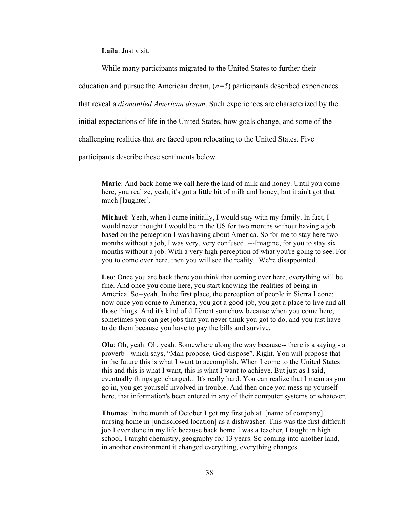**Laila**: Just visit.

While many participants migrated to the United States to further their

education and pursue the American dream,  $(n=5)$  participants described experiences

that reveal a *dismantled American dream*. Such experiences are characterized by the

initial expectations of life in the United States, how goals change, and some of the

challenging realities that are faced upon relocating to the United States. Five

participants describe these sentiments below.

**Marie**: And back home we call here the land of milk and honey. Until you come here, you realize, yeah, it's got a little bit of milk and honey, but it ain't got that much [laughter].

**Michael**: Yeah, when I came initially, I would stay with my family. In fact, I would never thought I would be in the US for two months without having a job based on the perception I was having about America. So for me to stay here two months without a job, I was very, very confused. ---Imagine, for you to stay six months without a job. With a very high perception of what you're going to see. For you to come over here, then you will see the reality. We're disappointed.

**Leo**: Once you are back there you think that coming over here, everything will be fine. And once you come here, you start knowing the realities of being in America. So--yeah. In the first place, the perception of people in Sierra Leone: now once you come to America, you got a good job, you got a place to live and all those things. And it's kind of different somehow because when you come here, sometimes you can get jobs that you never think you got to do, and you just have to do them because you have to pay the bills and survive.

**Olu**: Oh, yeah. Oh, yeah. Somewhere along the way because-- there is a saying - a proverb - which says, "Man propose, God dispose". Right. You will propose that in the future this is what I want to accomplish. When I come to the United States this and this is what I want, this is what I want to achieve. But just as I said, eventually things get changed... It's really hard. You can realize that I mean as you go in, you get yourself involved in trouble. And then once you mess up yourself here, that information's been entered in any of their computer systems or whatever.

**Thomas**: In the month of October I got my first job at [name of company] nursing home in [undisclosed location] as a dishwasher. This was the first difficult job I ever done in my life because back home I was a teacher, I taught in high school, I taught chemistry, geography for 13 years. So coming into another land, in another environment it changed everything, everything changes.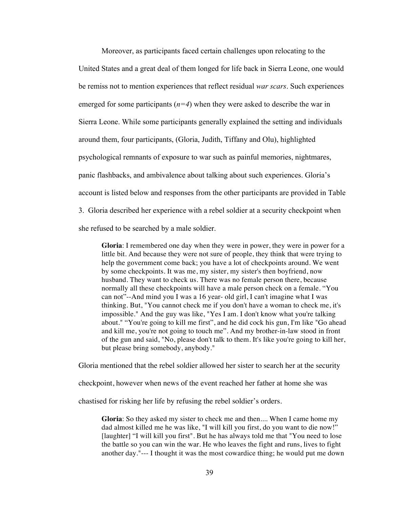Moreover, as participants faced certain challenges upon relocating to the United States and a great deal of them longed for life back in Sierra Leone, one would be remiss not to mention experiences that reflect residual *war scars*. Such experiences emerged for some participants (*n=4*) when they were asked to describe the war in Sierra Leone. While some participants generally explained the setting and individuals around them, four participants, (Gloria, Judith, Tiffany and Olu), highlighted psychological remnants of exposure to war such as painful memories, nightmares, panic flashbacks, and ambivalence about talking about such experiences. Gloria's account is listed below and responses from the other participants are provided in Table 3. Gloria described her experience with a rebel soldier at a security checkpoint when she refused to be searched by a male soldier.

**Gloria**: I remembered one day when they were in power, they were in power for a little bit. And because they were not sure of people, they think that were trying to help the government come back; you have a lot of checkpoints around. We went by some checkpoints. It was me, my sister, my sister's then boyfriend, now husband. They want to check us. There was no female person there, because normally all these checkpoints will have a male person check on a female. "You can not"--And mind you I was a 16 year- old girl, I can't imagine what I was thinking. But, "You cannot check me if you don't have a woman to check me, it's impossible." And the guy was like, "Yes I am. I don't know what you're talking about." "You're going to kill me first", and he did cock his gun, I'm like "Go ahead and kill me, you're not going to touch me". And my brother-in-law stood in front of the gun and said, "No, please don't talk to them. It's like you're going to kill her, but please bring somebody, anybody."

Gloria mentioned that the rebel soldier allowed her sister to search her at the security

checkpoint, however when news of the event reached her father at home she was

chastised for risking her life by refusing the rebel soldier's orders.

**Gloria**: So they asked my sister to check me and then.... When I came home my dad almost killed me he was like, "I will kill you first, do you want to die now!" [laughter] "I will kill you first". But he has always told me that "You need to lose the battle so you can win the war. He who leaves the fight and runs, lives to fight another day."--- I thought it was the most cowardice thing; he would put me down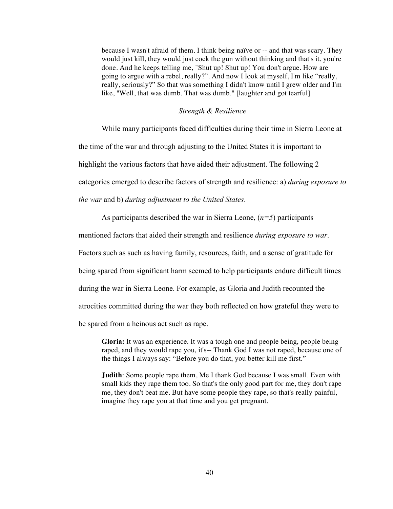because I wasn't afraid of them. I think being naïve or -- and that was scary. They would just kill, they would just cock the gun without thinking and that's it, you're done. And he keeps telling me, "Shut up! Shut up! You don't argue. How are going to argue with a rebel, really?". And now I look at myself, I'm like "really, really, seriously?" So that was something I didn't know until I grew older and I'm like, "Well, that was dumb. That was dumb." [laughter and got tearful]

# *Strength & Resilience*

While many participants faced difficulties during their time in Sierra Leone at the time of the war and through adjusting to the United States it is important to highlight the various factors that have aided their adjustment. The following 2 categories emerged to describe factors of strength and resilience: a) *during exposure to the war* and b) *during adjustment to the United States*.

As participants described the war in Sierra Leone, (*n=5*) participants

mentioned factors that aided their strength and resilience *during exposure to war*.

Factors such as such as having family, resources, faith, and a sense of gratitude for

being spared from significant harm seemed to help participants endure difficult times

during the war in Sierra Leone. For example, as Gloria and Judith recounted the

atrocities committed during the war they both reflected on how grateful they were to

be spared from a heinous act such as rape.

**Gloria:** It was an experience. It was a tough one and people being, people being raped, and they would rape you, it's-- Thank God I was not raped, because one of the things I always say: "Before you do that, you better kill me first."

**Judith**: Some people rape them, Me I thank God because I was small. Even with small kids they rape them too. So that's the only good part for me, they don't rape me, they don't beat me. But have some people they rape, so that's really painful, imagine they rape you at that time and you get pregnant.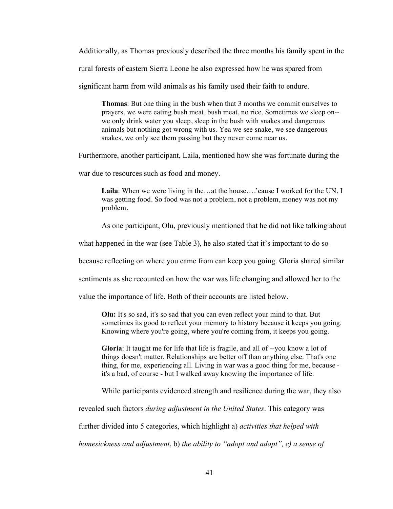Additionally, as Thomas previously described the three months his family spent in the rural forests of eastern Sierra Leone he also expressed how he was spared from significant harm from wild animals as his family used their faith to endure.

**Thomas**: But one thing in the bush when that 3 months we commit ourselves to prayers, we were eating bush meat, bush meat, no rice. Sometimes we sleep on- we only drink water you sleep, sleep in the bush with snakes and dangerous animals but nothing got wrong with us. Yea we see snake, we see dangerous snakes, we only see them passing but they never come near us.

Furthermore, another participant, Laila, mentioned how she was fortunate during the

war due to resources such as food and money.

Laila: When we were living in the…at the house….'cause I worked for the UN, I was getting food. So food was not a problem, not a problem, money was not my problem.

As one participant, Olu, previously mentioned that he did not like talking about

what happened in the war (see Table 3), he also stated that it's important to do so

because reflecting on where you came from can keep you going. Gloria shared similar

sentiments as she recounted on how the war was life changing and allowed her to the

value the importance of life. Both of their accounts are listed below.

**Olu:** It's so sad, it's so sad that you can even reflect your mind to that. But sometimes its good to reflect your memory to history because it keeps you going. Knowing where you're going, where you're coming from, it keeps you going.

**Gloria**: It taught me for life that life is fragile, and all of --you know a lot of things doesn't matter. Relationships are better off than anything else. That's one thing, for me, experiencing all. Living in war was a good thing for me, because it's a bad, of course - but I walked away knowing the importance of life.

While participants evidenced strength and resilience during the war, they also

revealed such factors *during adjustment in the United States*. This category was

further divided into 5 categories, which highlight a) *activities that helped with* 

*homesickness and adjustment*, b) *the ability to "adopt and adapt", c) a sense of*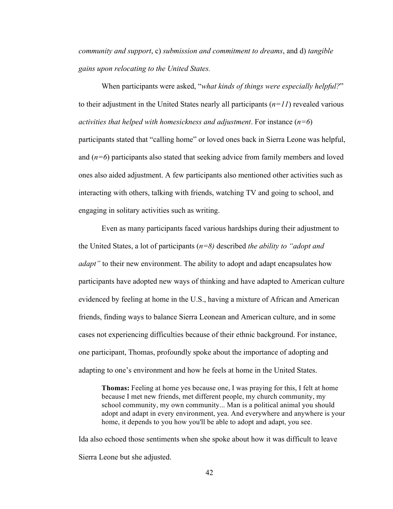*community and support*, c) *submission and commitment to dreams*, and d) *tangible gains upon relocating to the United States.* 

When participants were asked, "*what kinds of things were especially helpful?*" to their adjustment in the United States nearly all participants (*n=11*) revealed various *activities that helped with homesickness and adjustment*. For instance (*n=6*) participants stated that "calling home" or loved ones back in Sierra Leone was helpful, and (*n=6*) participants also stated that seeking advice from family members and loved ones also aided adjustment. A few participants also mentioned other activities such as interacting with others, talking with friends, watching TV and going to school, and engaging in solitary activities such as writing.

Even as many participants faced various hardships during their adjustment to the United States, a lot of participants (*n=8)* described *the ability to "adopt and adapt*" to their new environment. The ability to adopt and adapt encapsulates how participants have adopted new ways of thinking and have adapted to American culture evidenced by feeling at home in the U.S., having a mixture of African and American friends, finding ways to balance Sierra Leonean and American culture, and in some cases not experiencing difficulties because of their ethnic background. For instance, one participant, Thomas, profoundly spoke about the importance of adopting and adapting to one's environment and how he feels at home in the United States.

**Thomas:** Feeling at home yes because one, I was praying for this, I felt at home because I met new friends, met different people, my church community, my school community, my own community... Man is a political animal you should adopt and adapt in every environment, yea. And everywhere and anywhere is your home, it depends to you how you'll be able to adopt and adapt, you see.

Ida also echoed those sentiments when she spoke about how it was difficult to leave Sierra Leone but she adjusted.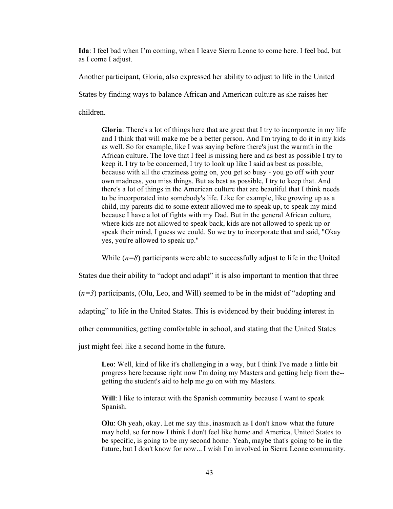**Ida**: I feel bad when I'm coming, when I leave Sierra Leone to come here. I feel bad, but as I come I adjust.

Another participant, Gloria, also expressed her ability to adjust to life in the United

States by finding ways to balance African and American culture as she raises her

children.

**Gloria**: There's a lot of things here that are great that I try to incorporate in my life and I think that will make me be a better person. And I'm trying to do it in my kids as well. So for example, like I was saying before there's just the warmth in the African culture. The love that I feel is missing here and as best as possible I try to keep it. I try to be concerned, I try to look up like I said as best as possible, because with all the craziness going on, you get so busy - you go off with your own madness, you miss things. But as best as possible, I try to keep that. And there's a lot of things in the American culture that are beautiful that I think needs to be incorporated into somebody's life. Like for example, like growing up as a child, my parents did to some extent allowed me to speak up, to speak my mind because I have a lot of fights with my Dad. But in the general African culture, where kids are not allowed to speak back, kids are not allowed to speak up or speak their mind, I guess we could. So we try to incorporate that and said, "Okay yes, you're allowed to speak up."

While  $(n=8)$  participants were able to successfully adjust to life in the United

States due their ability to "adopt and adapt" it is also important to mention that three

(*n=3*) participants, (Olu, Leo, and Will) seemed to be in the midst of "adopting and

adapting" to life in the United States. This is evidenced by their budding interest in

other communities, getting comfortable in school, and stating that the United States

just might feel like a second home in the future.

**Leo**: Well, kind of like it's challenging in a way, but I think I've made a little bit progress here because right now I'm doing my Masters and getting help from the- getting the student's aid to help me go on with my Masters.

**Will**: I like to interact with the Spanish community because I want to speak Spanish.

**Olu**: Oh yeah, okay. Let me say this, inasmuch as I don't know what the future may hold, so for now I think I don't feel like home and America, United States to be specific, is going to be my second home. Yeah, maybe that's going to be in the future, but I don't know for now... I wish I'm involved in Sierra Leone community.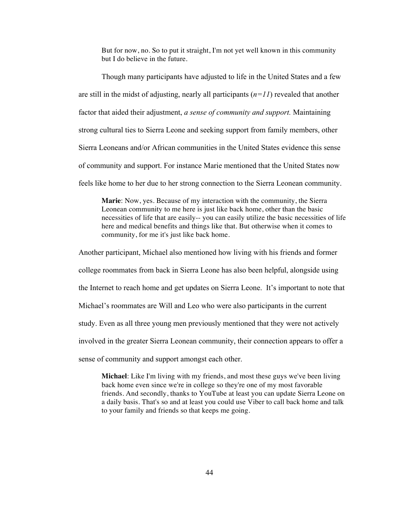But for now, no. So to put it straight, I'm not yet well known in this community but I do believe in the future.

Though many participants have adjusted to life in the United States and a few are still in the midst of adjusting, nearly all participants  $(n=11)$  revealed that another factor that aided their adjustment, *a sense of community and support.* Maintaining strong cultural ties to Sierra Leone and seeking support from family members, other Sierra Leoneans and/or African communities in the United States evidence this sense of community and support. For instance Marie mentioned that the United States now feels like home to her due to her strong connection to the Sierra Leonean community.

**Marie**: Now, yes. Because of my interaction with the community, the Sierra Leonean community to me here is just like back home, other than the basic necessities of life that are easily-- you can easily utilize the basic necessities of life here and medical benefits and things like that. But otherwise when it comes to community, for me it's just like back home.

Another participant, Michael also mentioned how living with his friends and former college roommates from back in Sierra Leone has also been helpful, alongside using the Internet to reach home and get updates on Sierra Leone. It's important to note that Michael's roommates are Will and Leo who were also participants in the current study. Even as all three young men previously mentioned that they were not actively involved in the greater Sierra Leonean community, their connection appears to offer a sense of community and support amongst each other.

**Michael**: Like I'm living with my friends, and most these guys we've been living back home even since we're in college so they're one of my most favorable friends. And secondly, thanks to YouTube at least you can update Sierra Leone on a daily basis. That's so and at least you could use Viber to call back home and talk to your family and friends so that keeps me going.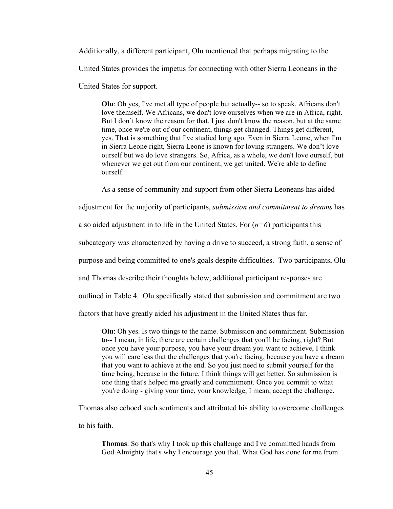Additionally, a different participant, Olu mentioned that perhaps migrating to the United States provides the impetus for connecting with other Sierra Leoneans in the United States for support.

**Olu**: Oh yes, I've met all type of people but actually-- so to speak, Africans don't love themself. We Africans, we don't love ourselves when we are in Africa, right. But I don't know the reason for that. I just don't know the reason, but at the same time, once we're out of our continent, things get changed. Things get different, yes. That is something that I've studied long ago. Even in Sierra Leone, when I'm in Sierra Leone right, Sierra Leone is known for loving strangers. We don't love ourself but we do love strangers. So, Africa, as a whole, we don't love ourself, but whenever we get out from our continent, we get united. We're able to define ourself.

As a sense of community and support from other Sierra Leoneans has aided

adjustment for the majority of participants, *submission and commitment to dreams* has also aided adjustment in to life in the United States. For (*n=6*) participants this

subcategory was characterized by having a drive to succeed, a strong faith, a sense of

purpose and being committed to one's goals despite difficulties. Two participants, Olu

and Thomas describe their thoughts below, additional participant responses are

outlined in Table 4. Olu specifically stated that submission and commitment are two

factors that have greatly aided his adjustment in the United States thus far.

**Olu**: Oh yes. Is two things to the name. Submission and commitment. Submission to-- I mean, in life, there are certain challenges that you'll be facing, right? But once you have your purpose, you have your dream you want to achieve, I think you will care less that the challenges that you're facing, because you have a dream that you want to achieve at the end. So you just need to submit yourself for the time being, because in the future, I think things will get better. So submission is one thing that's helped me greatly and commitment. Once you commit to what you're doing - giving your time, your knowledge, I mean, accept the challenge.

Thomas also echoed such sentiments and attributed his ability to overcome challenges

to his faith.

**Thomas**: So that's why I took up this challenge and I've committed hands from God Almighty that's why I encourage you that, What God has done for me from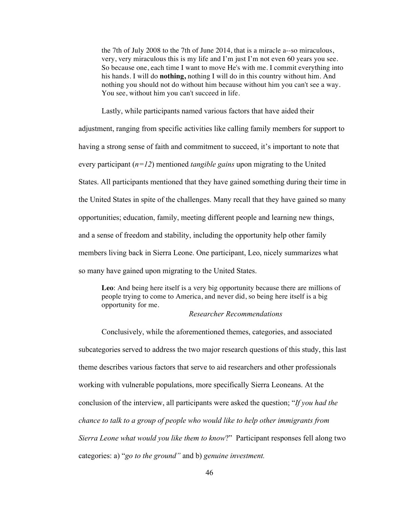the 7th of July 2008 to the 7th of June 2014, that is a miracle a--so miraculous, very, very miraculous this is my life and I'm just I'm not even 60 years you see. So because one, each time I want to move He's with me. I commit everything into his hands. I will do **nothing,** nothing I will do in this country without him. And nothing you should not do without him because without him you can't see a way. You see, without him you can't succeed in life.

Lastly, while participants named various factors that have aided their adjustment, ranging from specific activities like calling family members for support to having a strong sense of faith and commitment to succeed, it's important to note that every participant (*n=12*) mentioned *tangible gains* upon migrating to the United States. All participants mentioned that they have gained something during their time in the United States in spite of the challenges. Many recall that they have gained so many opportunities; education, family, meeting different people and learning new things, and a sense of freedom and stability, including the opportunity help other family members living back in Sierra Leone. One participant, Leo, nicely summarizes what so many have gained upon migrating to the United States.

**Leo**: And being here itself is a very big opportunity because there are millions of people trying to come to America, and never did, so being here itself is a big opportunity for me.

# *Researcher Recommendations*

Conclusively, while the aforementioned themes, categories, and associated subcategories served to address the two major research questions of this study, this last theme describes various factors that serve to aid researchers and other professionals working with vulnerable populations, more specifically Sierra Leoneans. At the conclusion of the interview, all participants were asked the question; "*If you had the chance to talk to a group of people who would like to help other immigrants from Sierra Leone what would you like them to know*?" Participant responses fell along two categories: a) "*go to the ground"* and b) *genuine investment.*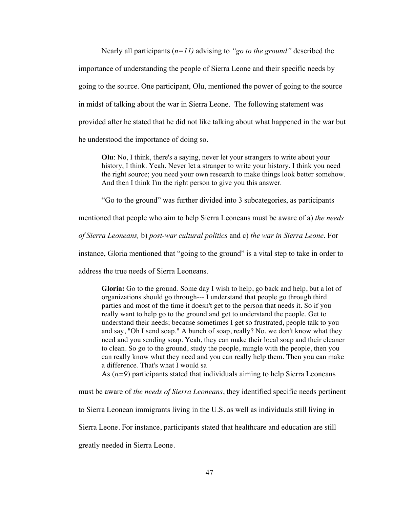Nearly all participants (*n=11)* advising to *"go to the ground"* described the importance of understanding the people of Sierra Leone and their specific needs by going to the source. One participant, Olu, mentioned the power of going to the source in midst of talking about the war in Sierra Leone. The following statement was provided after he stated that he did not like talking about what happened in the war but he understood the importance of doing so.

**Olu**: No, I think, there's a saying, never let your strangers to write about your history, I think. Yeah. Never let a stranger to write your history. I think you need the right source; you need your own research to make things look better somehow. And then I think I'm the right person to give you this answer.

"Go to the ground" was further divided into 3 subcategories, as participants

mentioned that people who aim to help Sierra Leoneans must be aware of a) *the needs* 

*of Sierra Leoneans,* b) *post-war cultural politics* and c) *the war in Sierra Leone*. For

instance, Gloria mentioned that "going to the ground" is a vital step to take in order to

address the true needs of Sierra Leoneans.

**Gloria:** Go to the ground. Some day I wish to help, go back and help, but a lot of organizations should go through--- I understand that people go through third parties and most of the time it doesn't get to the person that needs it. So if you really want to help go to the ground and get to understand the people. Get to understand their needs; because sometimes I get so frustrated, people talk to you and say, "Oh I send soap." A bunch of soap, really? No, we don't know what they need and you sending soap. Yeah, they can make their local soap and their cleaner to clean. So go to the ground, study the people, mingle with the people, then you can really know what they need and you can really help them. Then you can make a difference. That's what I would sa

As (*n=9*) participants stated that individuals aiming to help Sierra Leoneans

must be aware of *the needs of Sierra Leoneans*, they identified specific needs pertinent

to Sierra Leonean immigrants living in the U.S. as well as individuals still living in

Sierra Leone. For instance, participants stated that healthcare and education are still

greatly needed in Sierra Leone.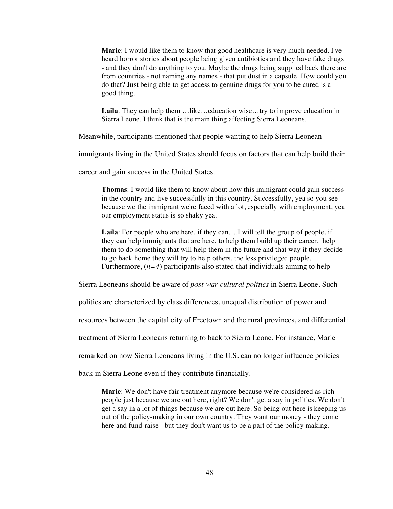**Marie**: I would like them to know that good healthcare is very much needed. I've heard horror stories about people being given antibiotics and they have fake drugs - and they don't do anything to you. Maybe the drugs being supplied back there are from countries - not naming any names - that put dust in a capsule. How could you do that? Just being able to get access to genuine drugs for you to be cured is a good thing.

Laila: They can help them …like…education wise…try to improve education in Sierra Leone. I think that is the main thing affecting Sierra Leoneans.

Meanwhile, participants mentioned that people wanting to help Sierra Leonean

immigrants living in the United States should focus on factors that can help build their

career and gain success in the United States.

**Thomas**: I would like them to know about how this immigrant could gain success in the country and live successfully in this country. Successfully, yea so you see because we the immigrant we're faced with a lot, especially with employment, yea our employment status is so shaky yea.

**Laila**: For people who are here, if they can….I will tell the group of people, if they can help immigrants that are here, to help them build up their career, help them to do something that will help them in the future and that way if they decide to go back home they will try to help others, the less privileged people. Furthermore,  $(n=4)$  participants also stated that individuals aiming to help

Sierra Leoneans should be aware of *post-war cultural politics* in Sierra Leone. Such

politics are characterized by class differences, unequal distribution of power and

resources between the capital city of Freetown and the rural provinces, and differential

treatment of Sierra Leoneans returning to back to Sierra Leone. For instance, Marie

remarked on how Sierra Leoneans living in the U.S. can no longer influence policies

back in Sierra Leone even if they contribute financially.

**Marie**: We don't have fair treatment anymore because we're considered as rich people just because we are out here, right? We don't get a say in politics. We don't get a say in a lot of things because we are out here. So being out here is keeping us out of the policy-making in our own country. They want our money - they come here and fund-raise - but they don't want us to be a part of the policy making.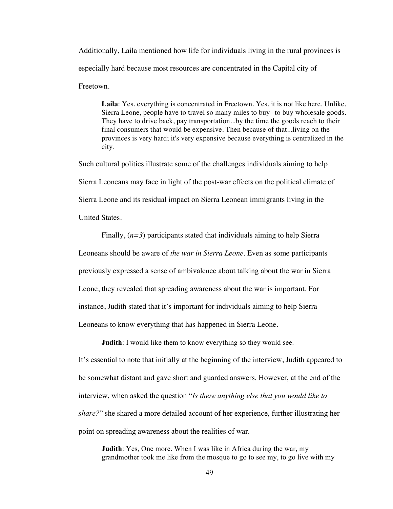Additionally, Laila mentioned how life for individuals living in the rural provinces is especially hard because most resources are concentrated in the Capital city of Freetown.

**Laila**: Yes, everything is concentrated in Freetown. Yes, it is not like here. Unlike, Sierra Leone, people have to travel so many miles to buy--to buy wholesale goods. They have to drive back, pay transportation...by the time the goods reach to their final consumers that would be expensive. Then because of that...living on the provinces is very hard; it's very expensive because everything is centralized in the city.

Such cultural politics illustrate some of the challenges individuals aiming to help Sierra Leoneans may face in light of the post-war effects on the political climate of Sierra Leone and its residual impact on Sierra Leonean immigrants living in the United States.

Finally, (*n=3*) participants stated that individuals aiming to help Sierra Leoneans should be aware of *the war in Sierra Leone*. Even as some participants previously expressed a sense of ambivalence about talking about the war in Sierra Leone, they revealed that spreading awareness about the war is important. For instance, Judith stated that it's important for individuals aiming to help Sierra Leoneans to know everything that has happened in Sierra Leone.

**Judith**: I would like them to know everything so they would see. It's essential to note that initially at the beginning of the interview, Judith appeared to be somewhat distant and gave short and guarded answers. However, at the end of the interview, when asked the question "*Is there anything else that you would like to share?*" she shared a more detailed account of her experience, further illustrating her point on spreading awareness about the realities of war.

**Judith**: Yes, One more. When I was like in Africa during the war, my grandmother took me like from the mosque to go to see my, to go live with my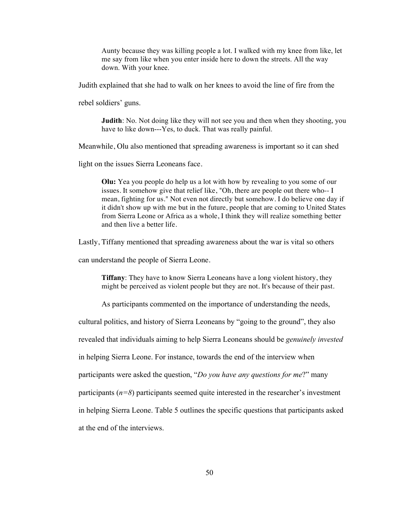Aunty because they was killing people a lot. I walked with my knee from like, let me say from like when you enter inside here to down the streets. All the way down. With your knee.

Judith explained that she had to walk on her knees to avoid the line of fire from the

rebel soldiers' guns.

**Judith**: No. Not doing like they will not see you and then when they shooting, you have to like down---Yes, to duck. That was really painful.

Meanwhile, Olu also mentioned that spreading awareness is important so it can shed

light on the issues Sierra Leoneans face.

**Olu:** Yea you people do help us a lot with how by revealing to you some of our issues. It somehow give that relief like, "Oh, there are people out there who-- I mean, fighting for us." Not even not directly but somehow. I do believe one day if it didn't show up with me but in the future, people that are coming to United States from Sierra Leone or Africa as a whole, I think they will realize something better and then live a better life.

Lastly, Tiffany mentioned that spreading awareness about the war is vital so others

can understand the people of Sierra Leone.

**Tiffany**: They have to know Sierra Leoneans have a long violent history, they might be perceived as violent people but they are not. It's because of their past.

As participants commented on the importance of understanding the needs,

cultural politics, and history of Sierra Leoneans by "going to the ground", they also

revealed that individuals aiming to help Sierra Leoneans should be *genuinely invested*

in helping Sierra Leone. For instance, towards the end of the interview when

participants were asked the question, "*Do you have any questions for me*?" many

participants  $(n=8)$  participants seemed quite interested in the researcher's investment

in helping Sierra Leone. Table 5 outlines the specific questions that participants asked

at the end of the interviews.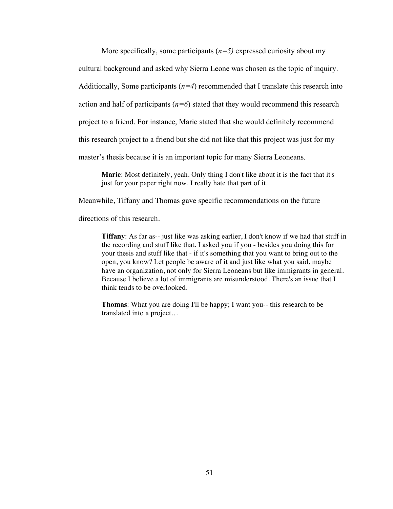More specifically, some participants  $(n=5)$  expressed curiosity about my cultural background and asked why Sierra Leone was chosen as the topic of inquiry. Additionally, Some participants  $(n=4)$  recommended that I translate this research into action and half of participants  $(n=6)$  stated that they would recommend this research project to a friend. For instance, Marie stated that she would definitely recommend this research project to a friend but she did not like that this project was just for my master's thesis because it is an important topic for many Sierra Leoneans.

**Marie**: Most definitely, yeah. Only thing I don't like about it is the fact that it's just for your paper right now. I really hate that part of it.

Meanwhile, Tiffany and Thomas gave specific recommendations on the future

directions of this research.

**Tiffany**: As far as-- just like was asking earlier, I don't know if we had that stuff in the recording and stuff like that. I asked you if you - besides you doing this for your thesis and stuff like that - if it's something that you want to bring out to the open, you know? Let people be aware of it and just like what you said, maybe have an organization, not only for Sierra Leoneans but like immigrants in general. Because I believe a lot of immigrants are misunderstood. There's an issue that I think tends to be overlooked.

**Thomas**: What you are doing I'll be happy; I want you-- this research to be translated into a project…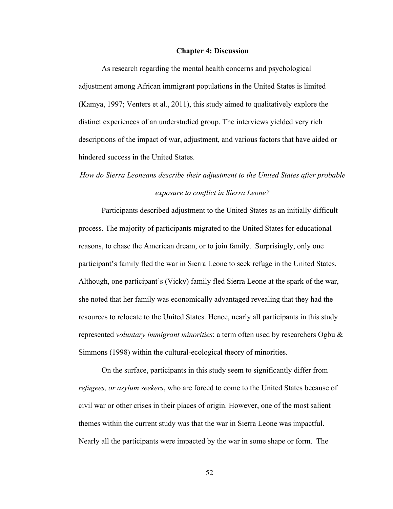#### **Chapter 4: Discussion**

As research regarding the mental health concerns and psychological adjustment among African immigrant populations in the United States is limited (Kamya, 1997; Venters et al., 2011), this study aimed to qualitatively explore the distinct experiences of an understudied group. The interviews yielded very rich descriptions of the impact of war, adjustment, and various factors that have aided or hindered success in the United States.

# *How do Sierra Leoneans describe their adjustment to the United States after probable exposure to conflict in Sierra Leone?*

Participants described adjustment to the United States as an initially difficult process. The majority of participants migrated to the United States for educational reasons, to chase the American dream, or to join family. Surprisingly, only one participant's family fled the war in Sierra Leone to seek refuge in the United States. Although, one participant's (Vicky) family fled Sierra Leone at the spark of the war, she noted that her family was economically advantaged revealing that they had the resources to relocate to the United States. Hence, nearly all participants in this study represented *voluntary immigrant minorities*; a term often used by researchers Ogbu & Simmons (1998) within the cultural-ecological theory of minorities.

On the surface, participants in this study seem to significantly differ from *refugees, or asylum seekers*, who are forced to come to the United States because of civil war or other crises in their places of origin. However, one of the most salient themes within the current study was that the war in Sierra Leone was impactful. Nearly all the participants were impacted by the war in some shape or form. The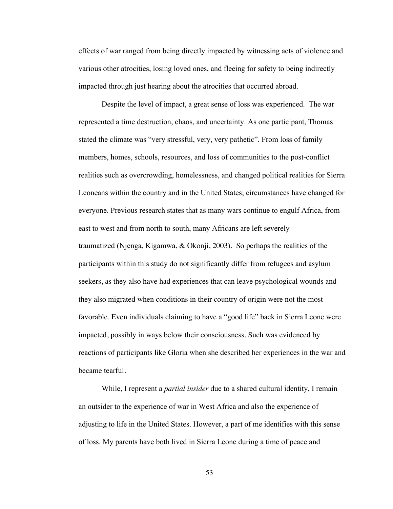effects of war ranged from being directly impacted by witnessing acts of violence and various other atrocities, losing loved ones, and fleeing for safety to being indirectly impacted through just hearing about the atrocities that occurred abroad.

Despite the level of impact, a great sense of loss was experienced. The war represented a time destruction, chaos, and uncertainty. As one participant, Thomas stated the climate was "very stressful, very, very pathetic". From loss of family members, homes, schools, resources, and loss of communities to the post-conflict realities such as overcrowding, homelessness, and changed political realities for Sierra Leoneans within the country and in the United States; circumstances have changed for everyone. Previous research states that as many wars continue to engulf Africa, from east to west and from north to south, many Africans are left severely traumatized (Njenga, Kigamwa, & Okonji, 2003). So perhaps the realities of the participants within this study do not significantly differ from refugees and asylum seekers, as they also have had experiences that can leave psychological wounds and they also migrated when conditions in their country of origin were not the most favorable. Even individuals claiming to have a "good life" back in Sierra Leone were impacted, possibly in ways below their consciousness. Such was evidenced by reactions of participants like Gloria when she described her experiences in the war and became tearful.

While, I represent a *partial insider* due to a shared cultural identity, I remain an outsider to the experience of war in West Africa and also the experience of adjusting to life in the United States. However, a part of me identifies with this sense of loss. My parents have both lived in Sierra Leone during a time of peace and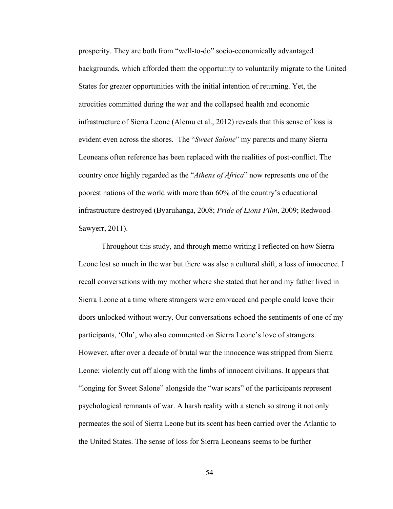prosperity. They are both from "well-to-do" socio-economically advantaged backgrounds, which afforded them the opportunity to voluntarily migrate to the United States for greater opportunities with the initial intention of returning. Yet, the atrocities committed during the war and the collapsed health and economic infrastructure of Sierra Leone (Alemu et al., 2012) reveals that this sense of loss is evident even across the shores. The "*Sweet Salone*" my parents and many Sierra Leoneans often reference has been replaced with the realities of post-conflict. The country once highly regarded as the "*Athens of Africa*" now represents one of the poorest nations of the world with more than 60% of the country's educational infrastructure destroyed (Byaruhanga, 2008; *Pride of Lions Film,* 2009; Redwood-Sawyerr, 2011).

Throughout this study, and through memo writing I reflected on how Sierra Leone lost so much in the war but there was also a cultural shift, a loss of innocence. I recall conversations with my mother where she stated that her and my father lived in Sierra Leone at a time where strangers were embraced and people could leave their doors unlocked without worry. Our conversations echoed the sentiments of one of my participants, 'Olu', who also commented on Sierra Leone's love of strangers. However, after over a decade of brutal war the innocence was stripped from Sierra Leone; violently cut off along with the limbs of innocent civilians. It appears that "longing for Sweet Salone" alongside the "war scars" of the participants represent psychological remnants of war. A harsh reality with a stench so strong it not only permeates the soil of Sierra Leone but its scent has been carried over the Atlantic to the United States. The sense of loss for Sierra Leoneans seems to be further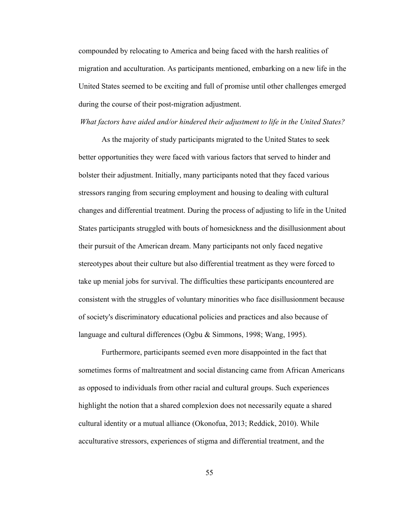compounded by relocating to America and being faced with the harsh realities of migration and acculturation. As participants mentioned, embarking on a new life in the United States seemed to be exciting and full of promise until other challenges emerged during the course of their post-migration adjustment.

# *What factors have aided and/or hindered their adjustment to life in the United States?*

As the majority of study participants migrated to the United States to seek better opportunities they were faced with various factors that served to hinder and bolster their adjustment. Initially, many participants noted that they faced various stressors ranging from securing employment and housing to dealing with cultural changes and differential treatment. During the process of adjusting to life in the United States participants struggled with bouts of homesickness and the disillusionment about their pursuit of the American dream. Many participants not only faced negative stereotypes about their culture but also differential treatment as they were forced to take up menial jobs for survival. The difficulties these participants encountered are consistent with the struggles of voluntary minorities who face disillusionment because of society's discriminatory educational policies and practices and also because of language and cultural differences (Ogbu & Simmons, 1998; Wang, 1995).

Furthermore, participants seemed even more disappointed in the fact that sometimes forms of maltreatment and social distancing came from African Americans as opposed to individuals from other racial and cultural groups. Such experiences highlight the notion that a shared complexion does not necessarily equate a shared cultural identity or a mutual alliance (Okonofua, 2013; Reddick, 2010). While acculturative stressors, experiences of stigma and differential treatment, and the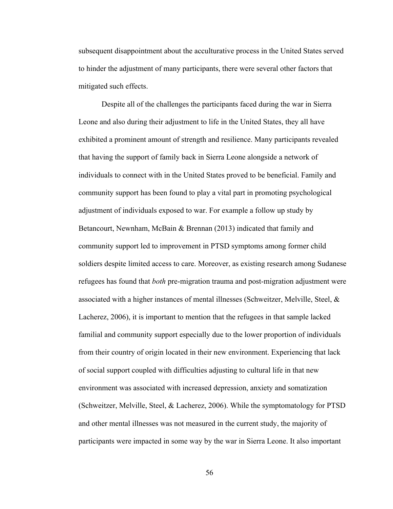subsequent disappointment about the acculturative process in the United States served to hinder the adjustment of many participants, there were several other factors that mitigated such effects.

Despite all of the challenges the participants faced during the war in Sierra Leone and also during their adjustment to life in the United States, they all have exhibited a prominent amount of strength and resilience. Many participants revealed that having the support of family back in Sierra Leone alongside a network of individuals to connect with in the United States proved to be beneficial. Family and community support has been found to play a vital part in promoting psychological adjustment of individuals exposed to war. For example a follow up study by Betancourt, Newnham, McBain & Brennan (2013) indicated that family and community support led to improvement in PTSD symptoms among former child soldiers despite limited access to care. Moreover, as existing research among Sudanese refugees has found that *both* pre-migration trauma and post-migration adjustment were associated with a higher instances of mental illnesses (Schweitzer, Melville, Steel, & Lacherez, 2006), it is important to mention that the refugees in that sample lacked familial and community support especially due to the lower proportion of individuals from their country of origin located in their new environment. Experiencing that lack of social support coupled with difficulties adjusting to cultural life in that new environment was associated with increased depression, anxiety and somatization (Schweitzer, Melville, Steel, & Lacherez, 2006). While the symptomatology for PTSD and other mental illnesses was not measured in the current study, the majority of participants were impacted in some way by the war in Sierra Leone. It also important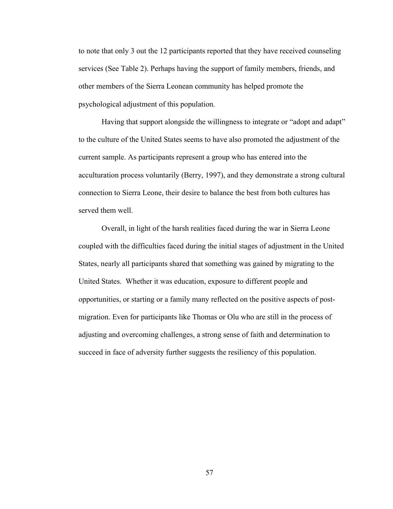to note that only 3 out the 12 participants reported that they have received counseling services (See Table 2). Perhaps having the support of family members, friends, and other members of the Sierra Leonean community has helped promote the psychological adjustment of this population.

Having that support alongside the willingness to integrate or "adopt and adapt" to the culture of the United States seems to have also promoted the adjustment of the current sample. As participants represent a group who has entered into the acculturation process voluntarily (Berry, 1997), and they demonstrate a strong cultural connection to Sierra Leone, their desire to balance the best from both cultures has served them well.

Overall, in light of the harsh realities faced during the war in Sierra Leone coupled with the difficulties faced during the initial stages of adjustment in the United States, nearly all participants shared that something was gained by migrating to the United States. Whether it was education, exposure to different people and opportunities, or starting or a family many reflected on the positive aspects of postmigration. Even for participants like Thomas or Olu who are still in the process of adjusting and overcoming challenges, a strong sense of faith and determination to succeed in face of adversity further suggests the resiliency of this population.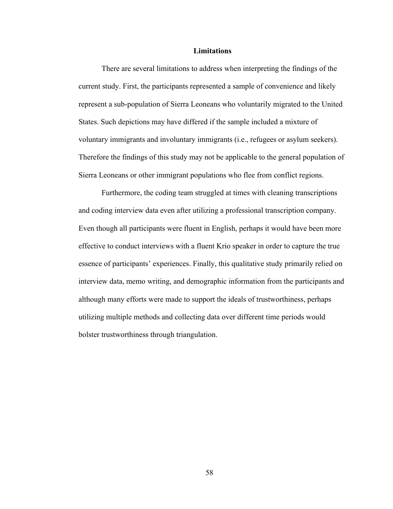### **Limitations**

There are several limitations to address when interpreting the findings of the current study. First, the participants represented a sample of convenience and likely represent a sub-population of Sierra Leoneans who voluntarily migrated to the United States. Such depictions may have differed if the sample included a mixture of voluntary immigrants and involuntary immigrants (i.e., refugees or asylum seekers). Therefore the findings of this study may not be applicable to the general population of Sierra Leoneans or other immigrant populations who flee from conflict regions.

Furthermore, the coding team struggled at times with cleaning transcriptions and coding interview data even after utilizing a professional transcription company. Even though all participants were fluent in English, perhaps it would have been more effective to conduct interviews with a fluent Krio speaker in order to capture the true essence of participants' experiences. Finally, this qualitative study primarily relied on interview data, memo writing, and demographic information from the participants and although many efforts were made to support the ideals of trustworthiness, perhaps utilizing multiple methods and collecting data over different time periods would bolster trustworthiness through triangulation.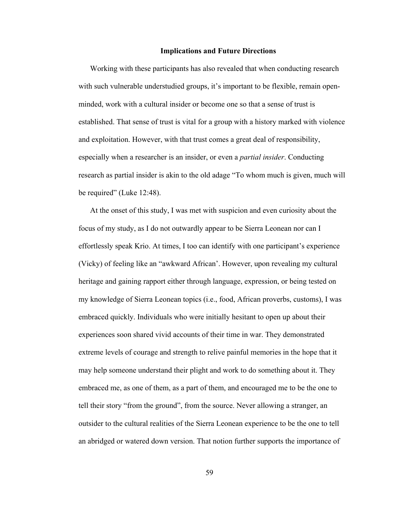#### **Implications and Future Directions**

Working with these participants has also revealed that when conducting research with such vulnerable understudied groups, it's important to be flexible, remain openminded, work with a cultural insider or become one so that a sense of trust is established. That sense of trust is vital for a group with a history marked with violence and exploitation. However, with that trust comes a great deal of responsibility, especially when a researcher is an insider, or even a *partial insider*. Conducting research as partial insider is akin to the old adage "To whom much is given, much will be required" (Luke 12:48).

At the onset of this study, I was met with suspicion and even curiosity about the focus of my study, as I do not outwardly appear to be Sierra Leonean nor can I effortlessly speak Krio. At times, I too can identify with one participant's experience (Vicky) of feeling like an "awkward African'. However, upon revealing my cultural heritage and gaining rapport either through language, expression, or being tested on my knowledge of Sierra Leonean topics (i.e., food, African proverbs, customs), I was embraced quickly. Individuals who were initially hesitant to open up about their experiences soon shared vivid accounts of their time in war. They demonstrated extreme levels of courage and strength to relive painful memories in the hope that it may help someone understand their plight and work to do something about it. They embraced me, as one of them, as a part of them, and encouraged me to be the one to tell their story "from the ground", from the source. Never allowing a stranger, an outsider to the cultural realities of the Sierra Leonean experience to be the one to tell an abridged or watered down version. That notion further supports the importance of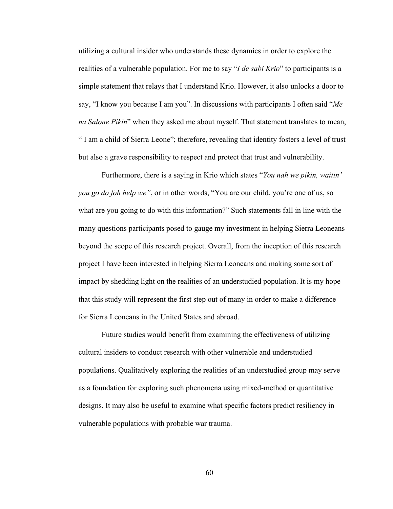utilizing a cultural insider who understands these dynamics in order to explore the realities of a vulnerable population. For me to say "*I de sabi Krio*" to participants is a simple statement that relays that I understand Krio. However, it also unlocks a door to say, "I know you because I am you". In discussions with participants I often said "*Me na Salone Pikin*" when they asked me about myself. That statement translates to mean, " I am a child of Sierra Leone"; therefore, revealing that identity fosters a level of trust but also a grave responsibility to respect and protect that trust and vulnerability.

Furthermore, there is a saying in Krio which states "*You nah we pikin, waitin' you go do foh help we"*, or in other words, "You are our child, you're one of us, so what are you going to do with this information?" Such statements fall in line with the many questions participants posed to gauge my investment in helping Sierra Leoneans beyond the scope of this research project. Overall, from the inception of this research project I have been interested in helping Sierra Leoneans and making some sort of impact by shedding light on the realities of an understudied population. It is my hope that this study will represent the first step out of many in order to make a difference for Sierra Leoneans in the United States and abroad.

Future studies would benefit from examining the effectiveness of utilizing cultural insiders to conduct research with other vulnerable and understudied populations. Qualitatively exploring the realities of an understudied group may serve as a foundation for exploring such phenomena using mixed-method or quantitative designs. It may also be useful to examine what specific factors predict resiliency in vulnerable populations with probable war trauma.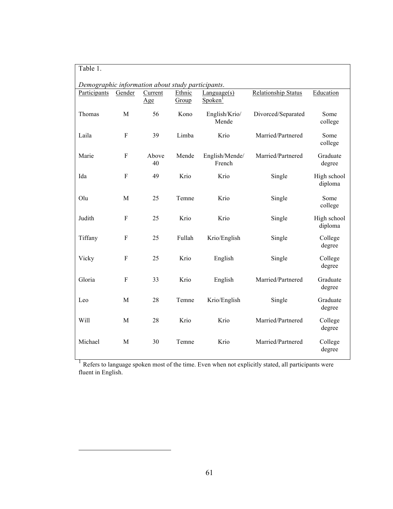| Table 1.                                          |           |                |                 |                                          |                            |                        |  |  |  |  |
|---------------------------------------------------|-----------|----------------|-----------------|------------------------------------------|----------------------------|------------------------|--|--|--|--|
| Demographic information about study participants. |           |                |                 |                                          |                            |                        |  |  |  |  |
| Participants                                      | Gender    | Current<br>Age | Ethnic<br>Group | $L$ anguage $(s)$<br>Spoken <sup>1</sup> | <b>Relationship Status</b> | Education              |  |  |  |  |
| Thomas                                            | M         | 56             | Kono            | English/Krio/<br>Mende                   | Divorced/Separated         | Some<br>college        |  |  |  |  |
| Laila                                             | F         | 39             | Limba           | Krio                                     | Married/Partnered          | Some<br>college        |  |  |  |  |
| Marie                                             | ${\bf F}$ | Above<br>40    | Mende           | English/Mende/<br>French                 | Married/Partnered          | Graduate<br>degree     |  |  |  |  |
| Ida                                               | F         | 49             | Krio            | Krio                                     | Single                     | High school<br>diploma |  |  |  |  |
| Olu                                               | M         | 25             | Temne           | Krio                                     | Single                     | Some<br>college        |  |  |  |  |
| Judith                                            | ${\bf F}$ | 25             | Krio            | Krio                                     | Single                     | High school<br>diploma |  |  |  |  |
| Tiffany                                           | F         | 25             | Fullah          | Krio/English                             | Single                     | College<br>degree      |  |  |  |  |
| Vicky                                             | F         | 25             | Krio            | English                                  | Single                     | College<br>degree      |  |  |  |  |
| Gloria                                            | F         | 33             | Krio            | English                                  | Married/Partnered          | Graduate<br>degree     |  |  |  |  |
| Leo                                               | M         | 28             | Temne           | Krio/English                             | Single                     | Graduate<br>degree     |  |  |  |  |
| Will                                              | M         | 28             | Krio            | Krio                                     | Married/Partnered          | College<br>degree      |  |  |  |  |
| Michael                                           | M         | 30             | Temne           | Krio                                     | Married/Partnered          | College<br>degree      |  |  |  |  |

<sup>1</sup> Refers to language spoken most of the time. Even when not explicitly stated, all participants were fluent in English.

 $\overline{a}$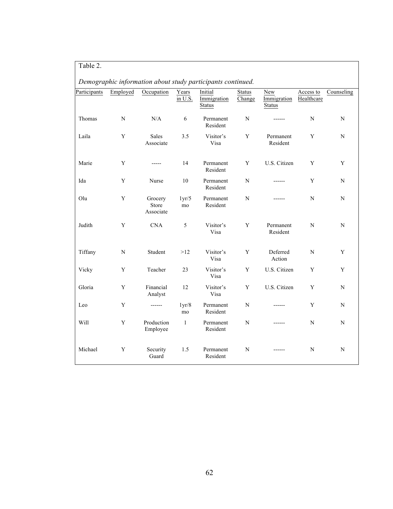|              |             |                               |                  | Demographic information about study participants continued. |                         |                                     |                         |            |
|--------------|-------------|-------------------------------|------------------|-------------------------------------------------------------|-------------------------|-------------------------------------|-------------------------|------------|
| Participants | Employed    | Occupation                    | Years<br>in U.S. | Initial<br>Immigration<br><b>Status</b>                     | <b>Status</b><br>Change | New<br>Immigration<br><b>Status</b> | Access to<br>Healthcare | Counseling |
| Thomas       | $\mathbf N$ | N/A                           | 6                | Permanent<br>Resident                                       | $\mathbf N$             | ------                              | ${\bf N}$               | N          |
| Laila        | Y           | Sales<br>Associate            | 3.5              | Visitor's<br>Visa                                           | Y                       | Permanent<br>Resident               | Y                       | N          |
| Marie        | Y           | -----                         | 14               | Permanent<br>Resident                                       | Y                       | U.S. Citizen                        | Y                       | Y          |
| Ida          | $\mathbf Y$ | Nurse                         | 10               | Permanent<br>Resident                                       | N                       |                                     | Y                       | N          |
| Olu          | Y           | Grocery<br>Store<br>Associate | 1yr/5<br>mo      | Permanent<br>Resident                                       | N                       |                                     | N                       | N          |
| Judith       | Y           | <b>CNA</b>                    | 5                | Visitor's<br>Visa                                           | Y                       | Permanent<br>Resident               | N                       | N          |
| Tiffany      | N           | Student                       | >12              | Visitor's<br>Visa                                           | Y                       | Deferred<br>Action                  | N                       | Y          |
| Vicky        | Y           | Teacher                       | 23               | Visitor's<br>Visa                                           | Y                       | U.S. Citizen                        | Y                       | Y          |
| Gloria       | Y           | Financial<br>Analyst          | 12               | Visitor's<br>Visa                                           | Y                       | U.S. Citizen                        | Y                       | N          |
| Leo          | Y           | ------                        | 1yr/8<br>mo      | Permanent<br>Resident                                       | N                       |                                     | Y                       | N          |
| Will         | Y           | Production<br>Employee        | $\mathbf{1}$     | Permanent<br>Resident                                       | N                       |                                     | N                       | N          |
| Michael      | Y           | Security<br>Guard             | 1.5              | Permanent<br>Resident                                       | N                       | $- - - - - -$                       | N                       | N          |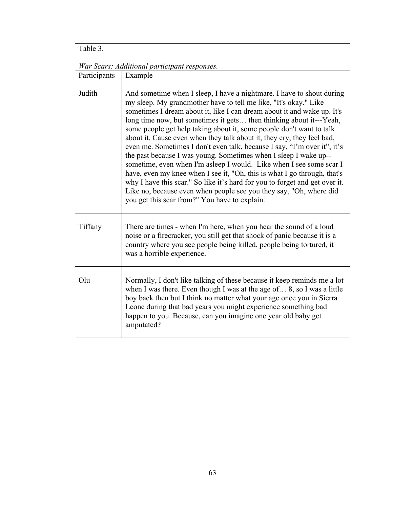| Table 3.                                     |                                                                                                                                                                                                                                                                                                                                                                                                                                                                                                                                                                                                                                                                                                                                                                                                                                                                                                                                                        |  |  |
|----------------------------------------------|--------------------------------------------------------------------------------------------------------------------------------------------------------------------------------------------------------------------------------------------------------------------------------------------------------------------------------------------------------------------------------------------------------------------------------------------------------------------------------------------------------------------------------------------------------------------------------------------------------------------------------------------------------------------------------------------------------------------------------------------------------------------------------------------------------------------------------------------------------------------------------------------------------------------------------------------------------|--|--|
| War Scars: Additional participant responses. |                                                                                                                                                                                                                                                                                                                                                                                                                                                                                                                                                                                                                                                                                                                                                                                                                                                                                                                                                        |  |  |
| Participants                                 | Example                                                                                                                                                                                                                                                                                                                                                                                                                                                                                                                                                                                                                                                                                                                                                                                                                                                                                                                                                |  |  |
| Judith                                       | And sometime when I sleep, I have a nightmare. I have to shout during<br>my sleep. My grandmother have to tell me like, "It's okay." Like<br>sometimes I dream about it, like I can dream about it and wake up. It's<br>long time now, but sometimes it gets then thinking about it---Yeah,<br>some people get help taking about it, some people don't want to talk<br>about it. Cause even when they talk about it, they cry, they feel bad,<br>even me. Sometimes I don't even talk, because I say, "I'm over it", it's<br>the past because I was young. Sometimes when I sleep I wake up--<br>sometime, even when I'm asleep I would. Like when I see some scar I<br>have, even my knee when I see it, "Oh, this is what I go through, that's<br>why I have this scar." So like it's hard for you to forget and get over it.<br>Like no, because even when people see you they say, "Oh, where did<br>you get this scar from?" You have to explain. |  |  |
| Tiffany                                      | There are times - when I'm here, when you hear the sound of a loud<br>noise or a firecracker, you still get that shock of panic because it is a<br>country where you see people being killed, people being tortured, it<br>was a horrible experience.                                                                                                                                                                                                                                                                                                                                                                                                                                                                                                                                                                                                                                                                                                  |  |  |
| Olu                                          | Normally, I don't like talking of these because it keep reminds me a lot<br>when I was there. Even though I was at the age of 8, so I was a little<br>boy back then but I think no matter what your age once you in Sierra<br>Leone during that bad years you might experience something bad<br>happen to you. Because, can you imagine one year old baby get<br>amputated?                                                                                                                                                                                                                                                                                                                                                                                                                                                                                                                                                                            |  |  |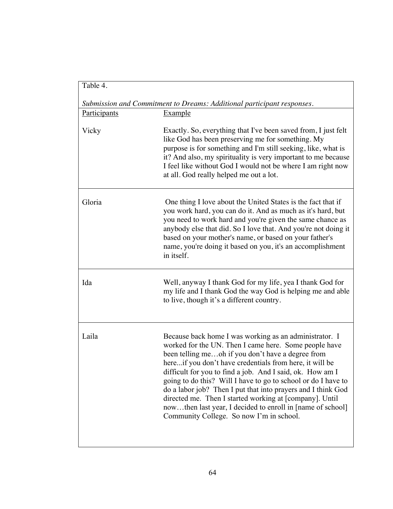| Table 4.            |                                                                                                                                                                                                                                                                                                                                                                                                                                                                                                                                                                                                    |
|---------------------|----------------------------------------------------------------------------------------------------------------------------------------------------------------------------------------------------------------------------------------------------------------------------------------------------------------------------------------------------------------------------------------------------------------------------------------------------------------------------------------------------------------------------------------------------------------------------------------------------|
|                     | Submission and Commitment to Dreams: Additional participant responses.                                                                                                                                                                                                                                                                                                                                                                                                                                                                                                                             |
| <b>Participants</b> | <b>Example</b>                                                                                                                                                                                                                                                                                                                                                                                                                                                                                                                                                                                     |
| Vicky               | Exactly. So, everything that I've been saved from, I just felt<br>like God has been preserving me for something. My<br>purpose is for something and I'm still seeking, like, what is<br>it? And also, my spirituality is very important to me because<br>I feel like without God I would not be where I am right now<br>at all. God really helped me out a lot.                                                                                                                                                                                                                                    |
| Gloria              | One thing I love about the United States is the fact that if<br>you work hard, you can do it. And as much as it's hard, but<br>you need to work hard and you're given the same chance as<br>anybody else that did. So I love that. And you're not doing it<br>based on your mother's name, or based on your father's<br>name, you're doing it based on you, it's an accomplishment<br>in itself.                                                                                                                                                                                                   |
| Ida                 | Well, anyway I thank God for my life, yea I thank God for<br>my life and I thank God the way God is helping me and able<br>to live, though it's a different country.                                                                                                                                                                                                                                                                                                                                                                                                                               |
| Laila               | Because back home I was working as an administrator. I<br>worked for the UN. Then I came here. Some people have<br>been telling meoh if you don't have a degree from<br>hereif you don't have credentials from here, it will be<br>difficult for you to find a job. And I said, ok. How am I<br>going to do this? Will I have to go to school or do I have to<br>do a labor job? Then I put that into prayers and I think God<br>directed me. Then I started working at [company]. Until<br>nowthen last year, I decided to enroll in [name of school]<br>Community College. So now I'm in school. |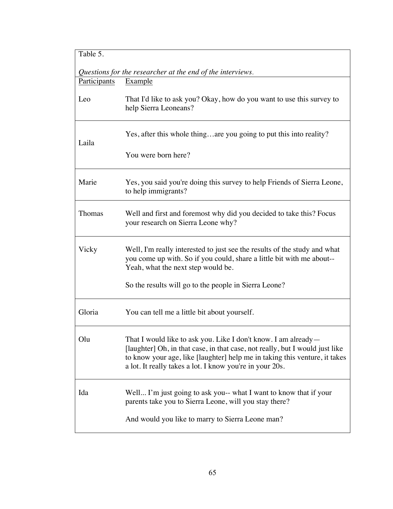| Table 5.     |                                                                                                                                                                                                                                                                                          |  |  |
|--------------|------------------------------------------------------------------------------------------------------------------------------------------------------------------------------------------------------------------------------------------------------------------------------------------|--|--|
|              | Questions for the researcher at the end of the interviews.                                                                                                                                                                                                                               |  |  |
| Participants | Example                                                                                                                                                                                                                                                                                  |  |  |
| Leo          | That I'd like to ask you? Okay, how do you want to use this survey to<br>help Sierra Leoneans?                                                                                                                                                                                           |  |  |
| Laila        | Yes, after this whole thingare you going to put this into reality?                                                                                                                                                                                                                       |  |  |
|              | You were born here?                                                                                                                                                                                                                                                                      |  |  |
| Marie        | Yes, you said you're doing this survey to help Friends of Sierra Leone,<br>to help immigrants?                                                                                                                                                                                           |  |  |
| Thomas       | Well and first and foremost why did you decided to take this? Focus<br>your research on Sierra Leone why?                                                                                                                                                                                |  |  |
| Vicky        | Well, I'm really interested to just see the results of the study and what<br>you come up with. So if you could, share a little bit with me about--<br>Yeah, what the next step would be.                                                                                                 |  |  |
|              | So the results will go to the people in Sierra Leone?                                                                                                                                                                                                                                    |  |  |
| Gloria       | You can tell me a little bit about yourself.                                                                                                                                                                                                                                             |  |  |
| Olu          | That I would like to ask you. Like I don't know. I am already-<br>[laughter] Oh, in that case, in that case, not really, but I would just like<br>to know your age, like [laughter] help me in taking this venture, it takes<br>a lot. It really takes a lot. I know you're in your 20s. |  |  |
| Ida          | Well I'm just going to ask you-- what I want to know that if your<br>parents take you to Sierra Leone, will you stay there?                                                                                                                                                              |  |  |
|              | And would you like to marry to Sierra Leone man?                                                                                                                                                                                                                                         |  |  |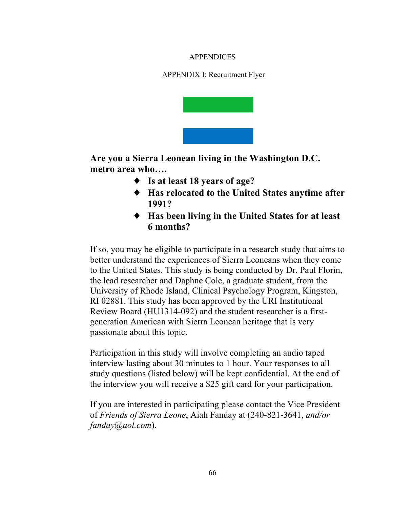## APPENDICES

APPENDIX I: Recruitment Flyer



**Are you a Sierra Leonean living in the Washington D.C. metro area who….**

- ♦ **Is at least 18 years of age?**
- ♦ **Has relocated to the United States anytime after 1991?**
- ♦ **Has been living in the United States for at least 6 months?**

If so, you may be eligible to participate in a research study that aims to better understand the experiences of Sierra Leoneans when they come to the United States. This study is being conducted by Dr. Paul Florin, the lead researcher and Daphne Cole, a graduate student, from the University of Rhode Island, Clinical Psychology Program, Kingston, RI 02881. This study has been approved by the URI Institutional Review Board (HU1314-092) and the student researcher is a firstgeneration American with Sierra Leonean heritage that is very passionate about this topic.

Participation in this study will involve completing an audio taped interview lasting about 30 minutes to 1 hour. Your responses to all study questions (listed below) will be kept confidential. At the end of the interview you will receive a \$25 gift card for your participation.

If you are interested in participating please contact the Vice President of *Friends of Sierra Leone*, Aiah Fanday at (240-821-3641, *and/or fanday@aol.com*).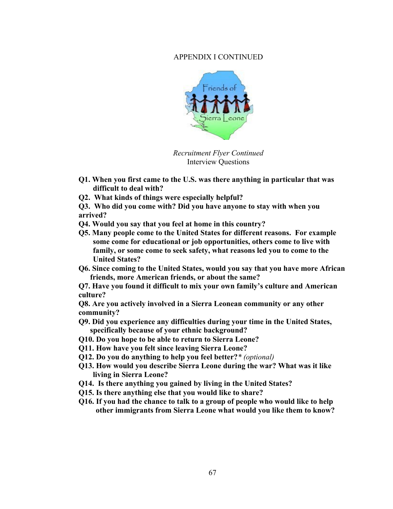## APPENDIX I CONTINUED



*Recruitment Flyer Continued* Interview Questions

- **Q1. When you first came to the U.S. was there anything in particular that was difficult to deal with?**
- **Q2. What kinds of things were especially helpful?**
- **Q3. Who did you come with? Did you have anyone to stay with when you arrived?**
- **Q4. Would you say that you feel at home in this country?**
- **Q5. Many people come to the United States for different reasons. For example some come for educational or job opportunities, others come to live with family, or some come to seek safety, what reasons led you to come to the United States?**
- **Q6. Since coming to the United States, would you say that you have more African friends, more American friends, or about the same?**

**Q7. Have you found it difficult to mix your own family's culture and American culture?**

**Q8. Are you actively involved in a Sierra Leonean community or any other community?** 

- **Q9. Did you experience any difficulties during your time in the United States, specifically because of your ethnic background?**
- **Q10. Do you hope to be able to return to Sierra Leone?**
- **Q11. How have you felt since leaving Sierra Leone?**
- **Q12. Do you do anything to help you feel better?***\* (optional)*
- **Q13. How would you describe Sierra Leone during the war? What was it like living in Sierra Leone?**
- **Q14. Is there anything you gained by living in the United States?**
- **Q15. Is there anything else that you would like to share?**
- **Q16. If you had the chance to talk to a group of people who would like to help other immigrants from Sierra Leone what would you like them to know?**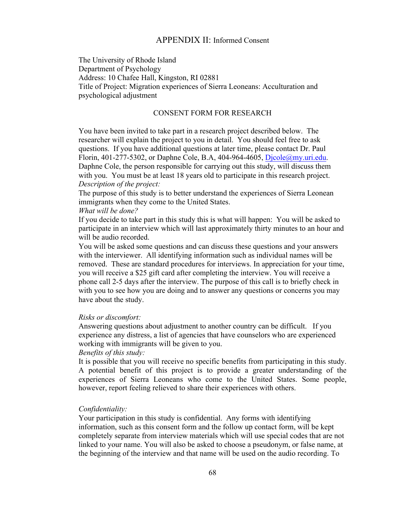## APPENDIX II: Informed Consent

The University of Rhode Island Department of Psychology Address: 10 Chafee Hall, Kingston, RI 02881 Title of Project: Migration experiences of Sierra Leoneans: Acculturation and psychological adjustment

#### CONSENT FORM FOR RESEARCH

You have been invited to take part in a research project described below. The researcher will explain the project to you in detail. You should feel free to ask questions. If you have additional questions at later time, please contact Dr. Paul Florin, 401-277-5302, or Daphne Cole, B.A, 404-964-4605, Djcole@my.uri.edu. Daphne Cole, the person responsible for carrying out this study, will discuss them with you. You must be at least 18 years old to participate in this research project. *Description of the project:*

The purpose of this study is to better understand the experiences of Sierra Leonean immigrants when they come to the United States.

#### *What will be done?*

If you decide to take part in this study this is what will happen: You will be asked to participate in an interview which will last approximately thirty minutes to an hour and will be audio recorded.

You will be asked some questions and can discuss these questions and your answers with the interviewer. All identifying information such as individual names will be removed. These are standard procedures for interviews. In appreciation for your time, you will receive a \$25 gift card after completing the interview. You will receive a phone call 2-5 days after the interview. The purpose of this call is to briefly check in with you to see how you are doing and to answer any questions or concerns you may have about the study.

#### *Risks or discomfort:*

Answering questions about adjustment to another country can be difficult. If you experience any distress, a list of agencies that have counselors who are experienced working with immigrants will be given to you.

#### *Benefits of this study:*

It is possible that you will receive no specific benefits from participating in this study. A potential benefit of this project is to provide a greater understanding of the experiences of Sierra Leoneans who come to the United States. Some people, however, report feeling relieved to share their experiences with others.

#### *Confidentiality:*

Your participation in this study is confidential. Any forms with identifying information, such as this consent form and the follow up contact form, will be kept completely separate from interview materials which will use special codes that are not linked to your name. You will also be asked to choose a pseudonym, or false name, at the beginning of the interview and that name will be used on the audio recording. To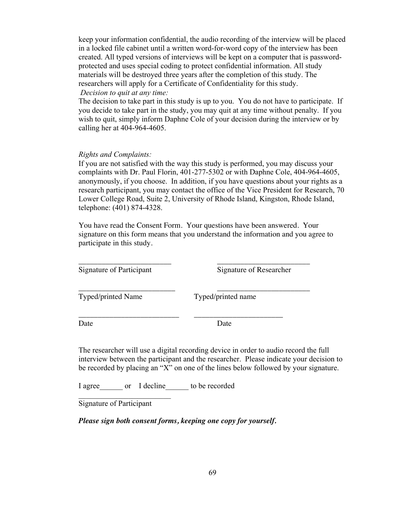keep your information confidential, the audio recording of the interview will be placed in a locked file cabinet until a written word-for-word copy of the interview has been created. All typed versions of interviews will be kept on a computer that is passwordprotected and uses special coding to protect confidential information. All study materials will be destroyed three years after the completion of this study. The researchers will apply for a Certificate of Confidentiality for this study. *Decision to quit at any time:*

The decision to take part in this study is up to you. You do not have to participate. If you decide to take part in the study, you may quit at any time without penalty. If you wish to quit, simply inform Daphne Cole of your decision during the interview or by calling her at 404-964-4605.

#### *Rights and Complaints:*

If you are not satisfied with the way this study is performed, you may discuss your complaints with Dr. Paul Florin, 401-277-5302 or with Daphne Cole, 404-964-4605, anonymously, if you choose. In addition, if you have questions about your rights as a research participant, you may contact the office of the Vice President for Research, 70 Lower College Road, Suite 2, University of Rhode Island, Kingston, Rhode Island, telephone: (401) 874-4328.

You have read the Consent Form. Your questions have been answered. Your signature on this form means that you understand the information and you agree to participate in this study.

\_\_\_\_\_\_\_\_\_\_\_\_\_\_\_\_\_\_\_\_\_\_\_\_ \_\_\_\_\_\_\_\_\_\_\_\_\_\_\_\_\_\_\_\_\_\_\_\_

\_\_\_\_\_\_\_\_\_\_\_\_\_\_\_\_\_\_\_\_\_\_\_\_\_\_ \_\_\_\_\_\_\_\_\_\_\_\_\_\_\_\_\_\_\_\_\_\_\_

Signature of Participant Signature of Researcher

\_\_\_\_\_\_\_\_\_\_\_\_\_\_\_\_\_\_\_\_\_\_\_\_\_ \_\_\_\_\_\_\_\_\_\_\_\_\_\_\_\_\_\_\_\_\_\_\_\_ Typed/printed Name Typed/printed name

Date Date Date

The researcher will use a digital recording device in order to audio record the full interview between the participant and the researcher. Please indicate your decision to be recorded by placing an "X" on one of the lines below followed by your signature.

I agree or I decline to be recorded

Signature of Participant

 $\mathcal{L}_\text{max}$  , where  $\mathcal{L}_\text{max}$  and  $\mathcal{L}_\text{max}$ 

*Please sign both consent forms, keeping one copy for yourself.*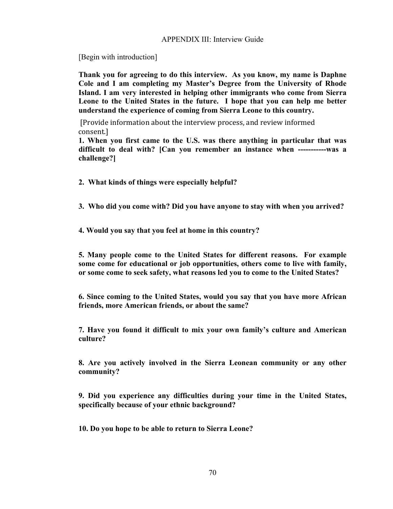#### APPENDIX III: Interview Guide

[Begin with introduction]

**Thank you for agreeing to do this interview. As you know, my name is Daphne Cole and I am completing my Master's Degree from the University of Rhode Island. I am very interested in helping other immigrants who come from Sierra Leone to the United States in the future. I hope that you can help me better understand the experience of coming from Sierra Leone to this country.** 

[Provide information about the interview process, and review informed consent.]

**1. When you first came to the U.S. was there anything in particular that was difficult to deal with? [Can you remember an instance when -----------was a challenge?]**

- **2. What kinds of things were especially helpful?**
- **3. Who did you come with? Did you have anyone to stay with when you arrived?**

**4. Would you say that you feel at home in this country?**

**5. Many people come to the United States for different reasons. For example some come for educational or job opportunities, others come to live with family, or some come to seek safety, what reasons led you to come to the United States?**

**6. Since coming to the United States, would you say that you have more African friends, more American friends, or about the same?**

**7. Have you found it difficult to mix your own family's culture and American culture?**

**8. Are you actively involved in the Sierra Leonean community or any other community?** 

**9. Did you experience any difficulties during your time in the United States, specifically because of your ethnic background?**

**10. Do you hope to be able to return to Sierra Leone?**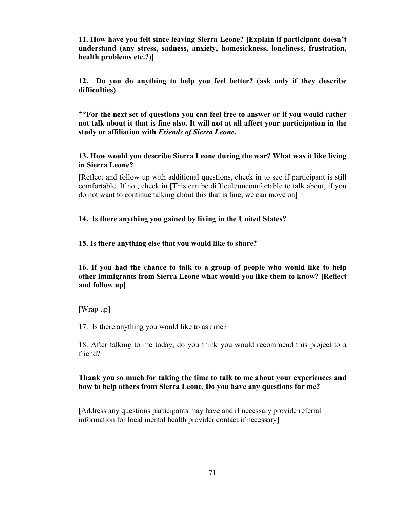**11. How have you felt since leaving Sierra Leone? [Explain if participant doesn't understand (any stress, sadness, anxiety, homesickness, loneliness, frustration, health problems etc.?)]** 

**12. Do you do anything to help you feel better? (ask only if they describe difficulties)**

**\*\*For the next set of questions you can feel free to answer or if you would rather not talk about it that is fine also. It will not at all affect your participation in the study or affiliation with** *Friends of Sierra Leone***.** 

**13. How would you describe Sierra Leone during the war? What was it like living in Sierra Leone?** 

[Reflect and follow up with additional questions, check in to see if participant is still comfortable. If not, check in [This can be difficult/uncomfortable to talk about, if you do not want to continue talking about this that is fine, we can move on]

### **14. Is there anything you gained by living in the United States?**

#### **15. Is there anything else that you would like to share?**

**16. If you had the chance to talk to a group of people who would like to help other immigrants from Sierra Leone what would you like them to know? [Reflect and follow up]**

[Wrap up]

17. Is there anything you would like to ask me?

18. After talking to me today, do you think you would recommend this project to a friend?

### **Thank you so much for taking the time to talk to me about your experiences and how to help others from Sierra Leone. Do you have any questions for me?**

[Address any questions participants may have and if necessary provide referral information for local mental health provider contact if necessary]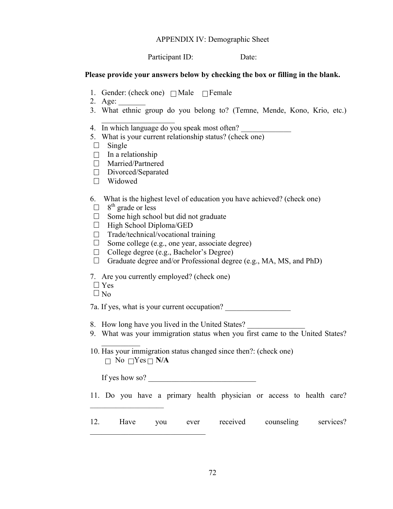#### APPENDIX IV: Demographic Sheet

Participant ID: Date:

#### **Please provide your answers below by checking the box or filling in the blank.**

- 1. Gender: (check one)  $\Box$  Male  $\Box$  Female
- 2. Age:
- 3. What ethnic group do you belong to? (Temne, Mende, Kono, Krio, etc.)
- 4. In which language do you speak most often?
- 5. What is your current relationship status? (check one)
- $\Box$  Single
- $\Box$  In a relationship
- Married/Partnered
- Divorced/Separated

 $\overline{\phantom{a}}$  , where  $\overline{\phantom{a}}$ 

- Widowed
- 6. What is the highest level of education you have achieved? (check one)
- $\Box$  8<sup>th</sup> grade or less
- $\Box$  Some high school but did not graduate
- $\Box$  High School Diploma/GED
- $\Box$  Trade/technical/vocational training
- $\Box$  Some college (e.g., one year, associate degree)
- $\Box$  College degree (e.g., Bachelor's Degree)
- $\Box$  Graduate degree and/or Professional degree (e.g., MA, MS, and PhD)
- 7. Are you currently employed? (check one)
- $\Box$  Yes
- $\Box$  No

7a. If yes, what is your current occupation?

- 8. How long have you lived in the United States?
- 9. What was your immigration status when you first came to the United States?
- 10. Has your immigration status changed since then?: (check one)  $\Box$  No  $\Box$ Yes  $\Box$  N/A

If yes how so?  $\qquad \qquad$ 

 $\mathcal{L}_\text{max}$  , where  $\mathcal{L}_\text{max}$  and  $\mathcal{L}_\text{max}$  and  $\mathcal{L}_\text{max}$ 

 $\mathcal{L}_\text{max}$ 

 $\frac{1}{2}$ 

11. Do you have a primary health physician or access to health care?

12. Have you ever received counseling services?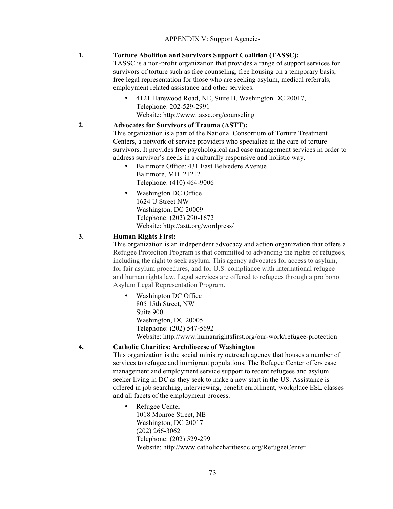#### **1. Torture Abolition and Survivors Support Coalition (TASSC):**

TASSC is a non-profit organization that provides a range of support services for survivors of torture such as free counseling, free housing on a temporary basis, free legal representation for those who are seeking asylum, medical referrals, employment related assistance and other services.

• 4121 Harewood Road, NE, Suite B, Washington DC 20017, Telephone: 202-529-2991 Website: http://www.tassc.org/counseling

### **2. Advocates for Survivors of Trauma (ASTT):**

This organization is a part of the National Consortium of Torture Treatment Centers, a network of service providers who specialize in the care of torture survivors. It provides free psychological and case management services in order to address survivor's needs in a culturally responsive and holistic way.

- Baltimore Office: 431 East Belvedere Avenue Baltimore, MD 21212 Telephone: (410) 464-9006
- Washington DC Office 1624 U Street NW Washington, DC 20009 Telephone: (202) 290-1672 Website: http://astt.org/wordpress/

#### **3. Human Rights First:**

This organization is an independent advocacy and action organization that offers a Refugee Protection Program is that committed to advancing the rights of refugees, including the right to seek asylum. This agency advocates for access to asylum, for fair asylum procedures, and for U.S. compliance with international refugee and human rights law. Legal services are offered to refugees through a pro bono Asylum Legal Representation Program.

• Washington DC Office 805 15th Street, NW Suite 900 Washington, DC 20005 Telephone: (202) 547-5692 Website: http://www.humanrightsfirst.org/our-work/refugee-protection

#### **4. Catholic Charities: Archdiocese of Washington**

This organization is the social ministry outreach agency that houses a number of services to refugee and immigrant populations. The Refugee Center offers case management and employment service support to recent refugees and asylum seeker living in DC as they seek to make a new start in the US. Assistance is offered in job searching, interviewing, benefit enrollment, workplace ESL classes and all facets of the employment process.

• Refugee Center 1018 Monroe Street, NE Washington, DC 20017 (202) 266-3062 Telephone: (202) 529-2991 Website: http://www.catholiccharitiesdc.org/RefugeeCenter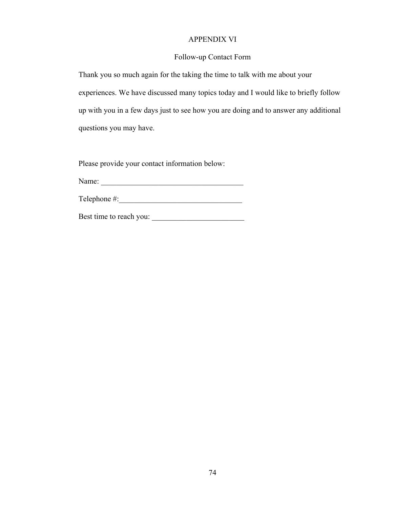### APPENDIX VI

### Follow-up Contact Form

Thank you so much again for the taking the time to talk with me about your experiences. We have discussed many topics today and I would like to briefly follow up with you in a few days just to see how you are doing and to answer any additional questions you may have.

Please provide your contact information below:

Name: \_\_\_\_\_\_\_\_\_\_\_\_\_\_\_\_\_\_\_\_\_\_\_\_\_\_\_\_\_\_\_\_\_\_\_\_\_

Telephone  $\#$ :

Best time to reach you: \_\_\_\_\_\_\_\_\_\_\_\_\_\_\_\_\_\_\_\_\_\_\_\_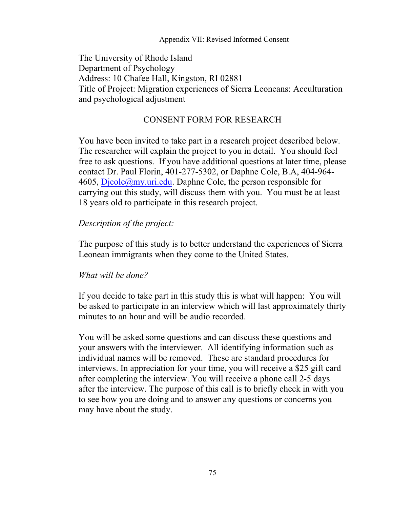## Appendix VII: Revised Informed Consent

The University of Rhode Island Department of Psychology Address: 10 Chafee Hall, Kingston, RI 02881 Title of Project: Migration experiences of Sierra Leoneans: Acculturation and psychological adjustment

# CONSENT FORM FOR RESEARCH

You have been invited to take part in a research project described below. The researcher will explain the project to you in detail. You should feel free to ask questions. If you have additional questions at later time, please contact Dr. Paul Florin, 401-277-5302, or Daphne Cole, B.A, 404-964-  $4605$ ,  $Dicole@my.util.edu$ . Daphne Cole, the person responsible for carrying out this study, will discuss them with you. You must be at least 18 years old to participate in this research project.

# *Description of the project:*

The purpose of this study is to better understand the experiences of Sierra Leonean immigrants when they come to the United States.

# *What will be done?*

If you decide to take part in this study this is what will happen: You will be asked to participate in an interview which will last approximately thirty minutes to an hour and will be audio recorded.

You will be asked some questions and can discuss these questions and your answers with the interviewer. All identifying information such as individual names will be removed. These are standard procedures for interviews. In appreciation for your time, you will receive a \$25 gift card after completing the interview. You will receive a phone call 2-5 days after the interview. The purpose of this call is to briefly check in with you to see how you are doing and to answer any questions or concerns you may have about the study.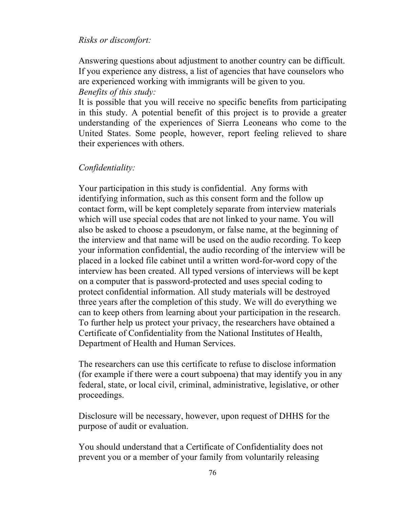# *Risks or discomfort:*

Answering questions about adjustment to another country can be difficult. If you experience any distress, a list of agencies that have counselors who are experienced working with immigrants will be given to you. *Benefits of this study:*

It is possible that you will receive no specific benefits from participating in this study. A potential benefit of this project is to provide a greater understanding of the experiences of Sierra Leoneans who come to the United States. Some people, however, report feeling relieved to share their experiences with others.

# *Confidentiality:*

Your participation in this study is confidential. Any forms with identifying information, such as this consent form and the follow up contact form, will be kept completely separate from interview materials which will use special codes that are not linked to your name. You will also be asked to choose a pseudonym, or false name, at the beginning of the interview and that name will be used on the audio recording. To keep your information confidential, the audio recording of the interview will be placed in a locked file cabinet until a written word-for-word copy of the interview has been created. All typed versions of interviews will be kept on a computer that is password-protected and uses special coding to protect confidential information. All study materials will be destroyed three years after the completion of this study. We will do everything we can to keep others from learning about your participation in the research. To further help us protect your privacy, the researchers have obtained a Certificate of Confidentiality from the National Institutes of Health, Department of Health and Human Services.

The researchers can use this certificate to refuse to disclose information (for example if there were a court subpoena) that may identify you in any federal, state, or local civil, criminal, administrative, legislative, or other proceedings.

Disclosure will be necessary, however, upon request of DHHS for the purpose of audit or evaluation.

You should understand that a Certificate of Confidentiality does not prevent you or a member of your family from voluntarily releasing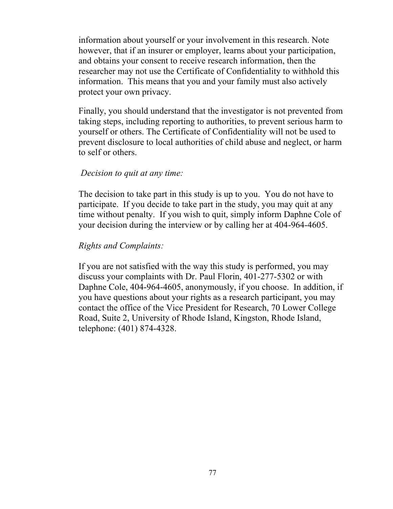information about yourself or your involvement in this research. Note however, that if an insurer or employer, learns about your participation, and obtains your consent to receive research information, then the researcher may not use the Certificate of Confidentiality to withhold this information. This means that you and your family must also actively protect your own privacy.

Finally, you should understand that the investigator is not prevented from taking steps, including reporting to authorities, to prevent serious harm to yourself or others. The Certificate of Confidentiality will not be used to prevent disclosure to local authorities of child abuse and neglect, or harm to self or others.

## *Decision to quit at any time:*

The decision to take part in this study is up to you. You do not have to participate. If you decide to take part in the study, you may quit at any time without penalty. If you wish to quit, simply inform Daphne Cole of your decision during the interview or by calling her at 404-964-4605.

# *Rights and Complaints:*

If you are not satisfied with the way this study is performed, you may discuss your complaints with Dr. Paul Florin, 401-277-5302 or with Daphne Cole, 404-964-4605, anonymously, if you choose. In addition, if you have questions about your rights as a research participant, you may contact the office of the Vice President for Research, 70 Lower College Road, Suite 2, University of Rhode Island, Kingston, Rhode Island, telephone: (401) 874-4328.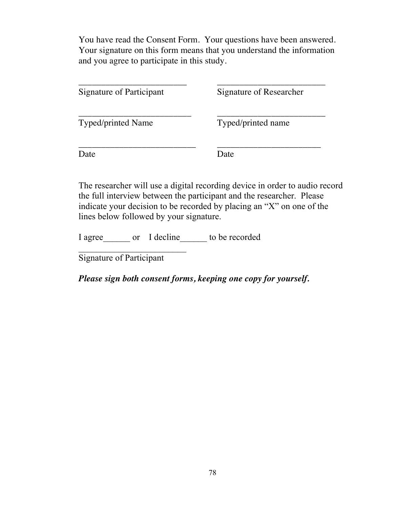You have read the Consent Form. Your questions have been answered. Your signature on this form means that you understand the information and you agree to participate in this study.

| Signature of Participant  | Signature of Researcher |
|---------------------------|-------------------------|
| <b>Typed/printed Name</b> | Typed/printed name      |
| Date                      | )ate                    |

The researcher will use a digital recording device in order to audio record the full interview between the participant and the researcher. Please indicate your decision to be recorded by placing an "X" on one of the lines below followed by your signature.

I agree or I decline to be recorded

Signature of Participant

*Please sign both consent forms, keeping one copy for yourself.*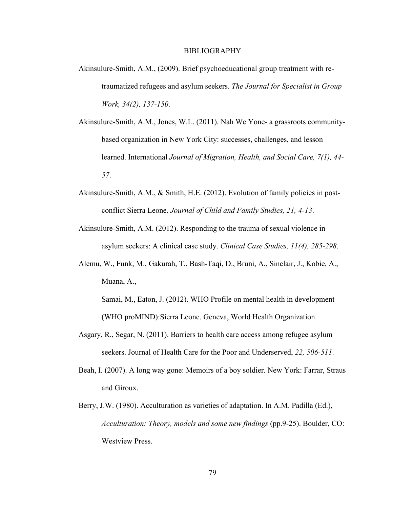#### BIBLIOGRAPHY

- Akinsulure-Smith, A.M., (2009). Brief psychoeducational group treatment with retraumatized refugees and asylum seekers. *The Journal for Specialist in Group Work, 34(2), 137-150*.
- Akinsulure-Smith, A.M., Jones, W.L. (2011). Nah We Yone- a grassroots communitybased organization in New York City: successes, challenges, and lesson learned. International *Journal of Migration, Health, and Social Care, 7(1), 44- 57*.
- Akinsulure-Smith, A.M., & Smith, H.E. (2012). Evolution of family policies in postconflict Sierra Leone. *Journal of Child and Family Studies, 21, 4-13*.
- Akinsulure-Smith, A.M. (2012). Responding to the trauma of sexual violence in asylum seekers: A clinical case study. *Clinical Case Studies, 11(4), 285-298*.
- Alemu, W., Funk, M., Gakurah, T., Bash-Taqi, D., Bruni, A., Sinclair, J., Kobie, A., Muana, A.,

Samai, M., Eaton, J. (2012). WHO Profile on mental health in development (WHO proMIND):Sierra Leone. Geneva, World Health Organization.

- Asgary, R., Segar, N. (2011). Barriers to health care access among refugee asylum seekers. Journal of Health Care for the Poor and Underserved, *22, 506-511*.
- Beah, I. (2007). A long way gone: Memoirs of a boy soldier. New York: Farrar, Straus and Giroux.
- Berry, J.W. (1980). Acculturation as varieties of adaptation. In A.M. Padilla (Ed.), *Acculturation: Theory, models and some new findings* (pp.9-25). Boulder, CO: Westview Press.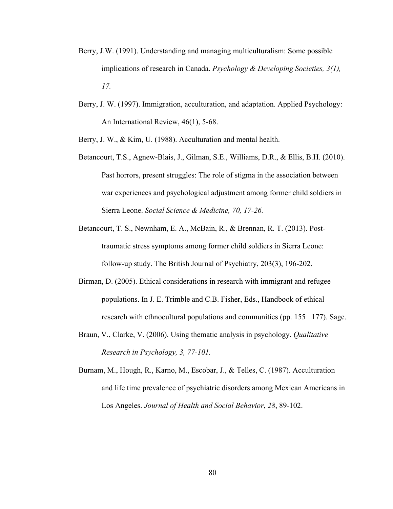- Berry, J.W. (1991). Understanding and managing multiculturalism: Some possible implications of research in Canada. *Psychology & Developing Societies, 3(1), 17.*
- Berry, J. W. (1997). Immigration, acculturation, and adaptation. Applied Psychology: An International Review, 46(1), 5-68.

Berry, J. W., & Kim, U. (1988). Acculturation and mental health.

- Betancourt, T.S., Agnew-Blais, J., Gilman, S.E., Williams, D.R., & Ellis, B.H. (2010). Past horrors, present struggles: The role of stigma in the association between war experiences and psychological adjustment among former child soldiers in Sierra Leone. *Social Science & Medicine, 70, 17-26.*
- Betancourt, T. S., Newnham, E. A., McBain, R., & Brennan, R. T. (2013). Posttraumatic stress symptoms among former child soldiers in Sierra Leone: follow-up study. The British Journal of Psychiatry, 203(3), 196-202.
- Birman, D. (2005). Ethical considerations in research with immigrant and refugee populations. In J. E. Trimble and C.B. Fisher, Eds., Handbook of ethical research with ethnocultural populations and communities (pp. 155 177). Sage.
- Braun, V., Clarke, V. (2006). Using thematic analysis in psychology. *Qualitative Research in Psychology, 3, 77-101.*
- Burnam, M., Hough, R., Karno, M., Escobar, J., & Telles, C. (1987). Acculturation and life time prevalence of psychiatric disorders among Mexican Americans in Los Angeles. *Journal of Health and Social Behavior*, *28*, 89-102.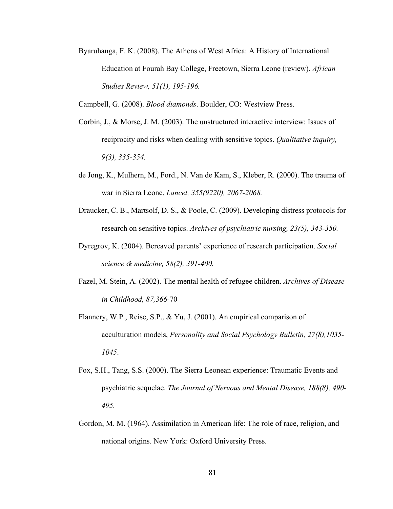Byaruhanga, F. K. (2008). The Athens of West Africa: A History of International Education at Fourah Bay College, Freetown, Sierra Leone (review). *African Studies Review, 51(1), 195-196.*

Campbell, G. (2008). *Blood diamonds*. Boulder, CO: Westview Press.

- Corbin, J., & Morse, J. M. (2003). The unstructured interactive interview: Issues of reciprocity and risks when dealing with sensitive topics. *Qualitative inquiry, 9(3), 335-354.*
- de Jong, K., Mulhern, M., Ford., N. Van de Kam, S., Kleber, R. (2000). The trauma of war in Sierra Leone. *Lancet, 355(9220), 2067-2068.*
- Draucker, C. B., Martsolf, D. S., & Poole, C. (2009). Developing distress protocols for research on sensitive topics. *Archives of psychiatric nursing, 23(5), 343-350.*
- Dyregrov, K. (2004). Bereaved parents' experience of research participation. *Social science & medicine, 58(2), 391-400.*
- Fazel, M. Stein, A. (2002). The mental health of refugee children. *Archives of Disease in Childhood, 87,366*-70
- Flannery, W.P., Reise, S.P., & Yu, J. (2001). An empirical comparison of acculturation models, *Personality and Social Psychology Bulletin, 27(8),1035- 1045*.
- Fox, S.H., Tang, S.S. (2000). The Sierra Leonean experience: Traumatic Events and psychiatric sequelae. *The Journal of Nervous and Mental Disease, 188(8), 490- 495.*
- Gordon, M. M. (1964). Assimilation in American life: The role of race, religion, and national origins. New York: Oxford University Press.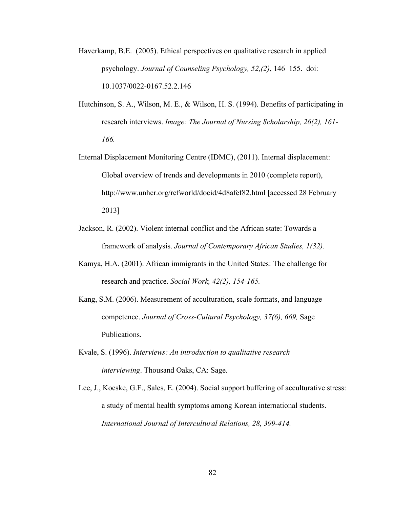- Haverkamp, B.E. (2005). Ethical perspectives on qualitative research in applied psychology. *Journal of Counseling Psychology, 52,(2)*, 146–155. doi: 10.1037/0022-0167.52.2.146
- Hutchinson, S. A., Wilson, M. E., & Wilson, H. S. (1994). Benefits of participating in research interviews. *Image: The Journal of Nursing Scholarship, 26(2), 161- 166.*
- Internal Displacement Monitoring Centre (IDMC), (2011). Internal displacement: Global overview of trends and developments in 2010 (complete report), http://www.unhcr.org/refworld/docid/4d8afef82.html [accessed 28 February 2013]
- Jackson, R. (2002). Violent internal conflict and the African state: Towards a framework of analysis. *Journal of Contemporary African Studies, 1(32).*
- Kamya, H.A. (2001). African immigrants in the United States: The challenge for research and practice. *Social Work, 42(2), 154-165.*
- Kang, S.M. (2006). Measurement of acculturation, scale formats, and language competence. *Journal of Cross-Cultural Psychology, 37(6), 669,* Sage Publications.
- Kvale, S. (1996). *Interviews: An introduction to qualitative research interviewing*. Thousand Oaks, CA: Sage.
- Lee, J., Koeske, G.F., Sales, E. (2004). Social support buffering of acculturative stress: a study of mental health symptoms among Korean international students. *International Journal of Intercultural Relations, 28, 399-414.*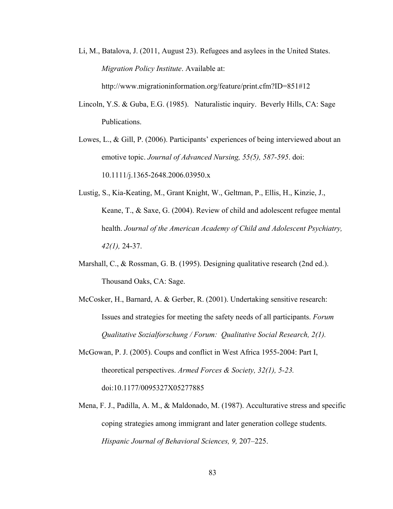Li, M., Batalova, J. (2011, August 23). Refugees and asylees in the United States. *Migration Policy Institute*. Available at:

http://www.migrationinformation.org/feature/print.cfm?ID=851#12

- Lincoln, Y.S. & Guba, E.G. (1985). Naturalistic inquiry. Beverly Hills, CA: Sage Publications.
- Lowes, L., & Gill, P. (2006). Participants' experiences of being interviewed about an emotive topic. *Journal of Advanced Nursing, 55(5), 587-595*. doi: 10.1111/j.1365-2648.2006.03950.x
- Lustig, S., Kia-Keating, M., Grant Knight, W., Geltman, P., Ellis, H., Kinzie, J., Keane, T., & Saxe, G. (2004). Review of child and adolescent refugee mental health. *Journal of the American Academy of Child and Adolescent Psychiatry, 42(1),* 24-37.
- Marshall, C., & Rossman, G. B. (1995). Designing qualitative research (2nd ed.). Thousand Oaks, CA: Sage.
- McCosker, H., Barnard, A. & Gerber, R. (2001). Undertaking sensitive research: Issues and strategies for meeting the safety needs of all participants. *Forum Qualitative Sozialforschung / Forum: Qualitative Social Research, 2(1).*
- McGowan, P. J. (2005). Coups and conflict in West Africa 1955-2004: Part I, theoretical perspectives. *Armed Forces & Society, 32(1), 5-23.* doi:10.1177/0095327X05277885
- Mena, F. J., Padilla, A. M., & Maldonado, M. (1987). Acculturative stress and specific coping strategies among immigrant and later generation college students. *Hispanic Journal of Behavioral Sciences, 9,* 207–225.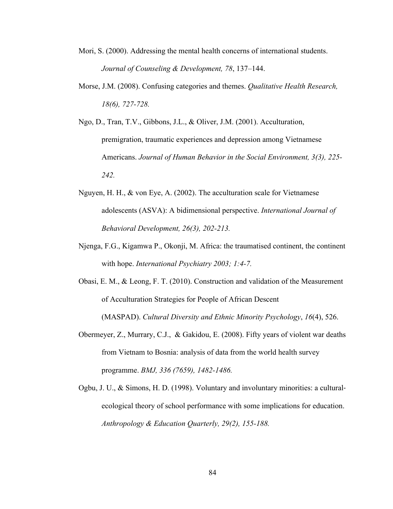- Mori, S. (2000). Addressing the mental health concerns of international students. *Journal of Counseling & Development, 78*, 137–144.
- Morse, J.M. (2008). Confusing categories and themes. *Qualitative Health Research, 18(6), 727-728.*
- Ngo, D., Tran, T.V., Gibbons, J.L., & Oliver, J.M. (2001). Acculturation, premigration, traumatic experiences and depression among Vietnamese Americans. *Journal of Human Behavior in the Social Environment, 3(3), 225- 242.*
- Nguyen, H. H., & von Eye, A. (2002). The acculturation scale for Vietnamese adolescents (ASVA): A bidimensional perspective. *International Journal of Behavioral Development, 26(3), 202-213.*
- Njenga, F.G., Kigamwa P., Okonji, M. Africa: the traumatised continent, the continent with hope. *International Psychiatry 2003; 1:4-7.*
- Obasi, E. M., & Leong, F. T. (2010). Construction and validation of the Measurement of Acculturation Strategies for People of African Descent

(MASPAD). *Cultural Diversity and Ethnic Minority Psychology*, *16*(4), 526.

- Obermeyer, Z., Murrary, C.J., & Gakidou, E. (2008). Fifty years of violent war deaths from Vietnam to Bosnia: analysis of data from the world health survey programme. *BMJ, 336 (7659), 1482-1486.*
- Ogbu, J. U., & Simons, H. D. (1998). Voluntary and involuntary minorities: a cultural‐ ecological theory of school performance with some implications for education. *Anthropology & Education Quarterly, 29(2), 155-188.*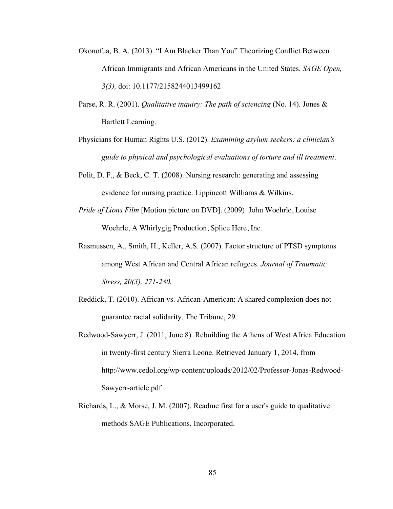- Okonofua, B. A. (2013). "I Am Blacker Than You" Theorizing Conflict Between African Immigrants and African Americans in the United States. *SAGE Open, 3(3),* doi: 10.1177/2158244013499162
- Parse, R. R. (2001). *Qualitative inquiry: The path of sciencing* (No. 14). Jones & Bartlett Learning.
- Physicians for Human Rights U.S. (2012). *Examining asylum seekers: a clinician's guide to physical and psychological evaluations of torture and ill treatment*.
- Polit, D. F., & Beck, C. T. (2008). Nursing research: generating and assessing evidence for nursing practice. Lippincott Williams & Wilkins.
- *Pride of Lions Film* [Motion picture on DVD]. (2009). John Woehrle, Louise Woehrle, A Whirlygig Production, Splice Here, Inc.
- Rasmussen, A., Smith, H., Keller, A.S. (2007). Factor structure of PTSD symptoms among West African and Central African refugees. *Journal of Traumatic Stress, 20(3), 271-280.*
- Reddick, T. (2010). African vs. African-American: A shared complexion does not guarantee racial solidarity. The Tribune, 29.
- Redwood-Sawyerr, J. (2011, June 8). Rebuilding the Athens of West Africa Education in twenty-first century Sierra Leone. Retrieved January 1, 2014, from http://www.cedol.org/wp-content/uploads/2012/02/Professor-Jonas-Redwood-Sawyerr-article.pdf
- Richards, L., & Morse, J. M. (2007). Readme first for a user's guide to qualitative methods SAGE Publications, Incorporated.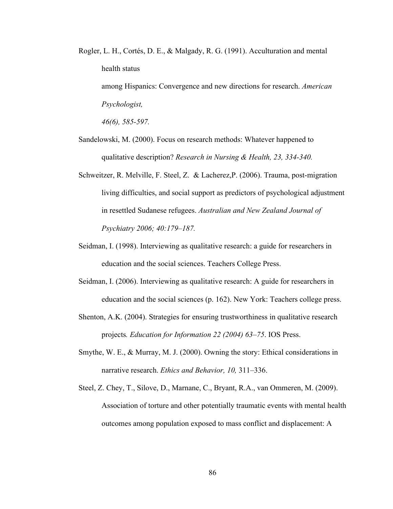Rogler, L. H., Cortés, D. E., & Malgady, R. G. (1991). Acculturation and mental health status among Hispanics: Convergence and new directions for research. *American Psychologist,*

*46(6), 585-597.*

- Sandelowski, M. (2000). Focus on research methods: Whatever happened to qualitative description? *Research in Nursing & Health, 23, 334-340.*
- Schweitzer, R. Melville, F. Steel, Z. & Lacherez,P. (2006). Trauma, post-migration living difficulties, and social support as predictors of psychological adjustment in resettled Sudanese refugees. *Australian and New Zealand Journal of Psychiatry 2006; 40:179–187.*
- Seidman, I. (1998). Interviewing as qualitative research: a guide for researchers in education and the social sciences. Teachers College Press.
- Seidman, I. (2006). Interviewing as qualitative research: A guide for researchers in education and the social sciences (p. 162). New York: Teachers college press.
- Shenton, A.K. (2004). Strategies for ensuring trustworthiness in qualitative research projects*. Education for Information 22 (2004) 63–75*. IOS Press.
- Smythe, W. E., & Murray, M. J. (2000). Owning the story: Ethical considerations in narrative research. *Ethics and Behavior, 10,* 311–336.
- Steel, Z. Chey, T., Silove, D., Marnane, C., Bryant, R.A., van Ommeren, M. (2009). Association of torture and other potentially traumatic events with mental health outcomes among population exposed to mass conflict and displacement: A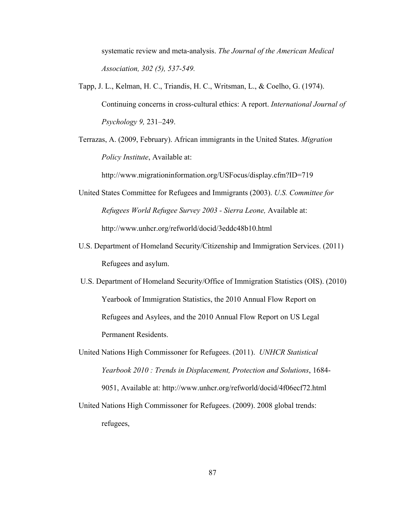systematic review and meta-analysis. *The Journal of the American Medical Association, 302 (5), 537-549.*

- Tapp, J. L., Kelman, H. C., Triandis, H. C., Writsman, L., & Coelho, G. (1974). Continuing concerns in cross-cultural ethics: A report. *International Journal of Psychology 9,* 231–249.
- Terrazas, A. (2009, February). African immigrants in the United States. *Migration Policy Institute*, Available at:

http://www.migrationinformation.org/USFocus/display.cfm?ID=719

- United States Committee for Refugees and Immigrants (2003). *U.S. Committee for Refugees World Refugee Survey 2003 - Sierra Leone,* Available at: http://www.unhcr.org/refworld/docid/3eddc48b10.html
- U.S. Department of Homeland Security/Citizenship and Immigration Services. (2011) Refugees and asylum.
- U.S. Department of Homeland Security/Office of Immigration Statistics (OIS). (2010) Yearbook of Immigration Statistics, the 2010 Annual Flow Report on Refugees and Asylees, and the 2010 Annual Flow Report on US Legal Permanent Residents.
- United Nations High Commissoner for Refugees. (2011). *UNHCR Statistical Yearbook 2010 : Trends in Displacement, Protection and Solutions*, 1684- 9051, Available at: http://www.unhcr.org/refworld/docid/4f06ecf72.html
- United Nations High Commissoner for Refugees. (2009). 2008 global trends: refugees,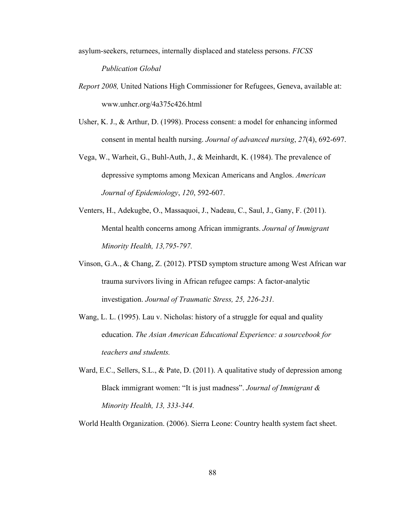- asylum-seekers, returnees, internally displaced and stateless persons. *FICSS Publication Global*
- *Report 2008,* United Nations High Commissioner for Refugees, Geneva, available at: www.unhcr.org/4a375c426.html
- Usher, K. J., & Arthur, D. (1998). Process consent: a model for enhancing informed consent in mental health nursing. *Journal of advanced nursing*, *27*(4), 692-697.
- Vega, W., Warheit, G., Buhl-Auth, J., & Meinhardt, K. (1984). The prevalence of depressive symptoms among Mexican Americans and Anglos. *American Journal of Epidemiology*, *120*, 592-607.
- Venters, H., Adekugbe, O., Massaquoi, J., Nadeau, C., Saul, J., Gany, F. (2011). Mental health concerns among African immigrants. *Journal of Immigrant Minority Health, 13,795-797.*
- Vinson, G.A., & Chang, Z. (2012). PTSD symptom structure among West African war trauma survivors living in African refugee camps: A factor-analytic investigation. *Journal of Traumatic Stress, 25, 226-231.*
- Wang, L. L. (1995). Lau v. Nicholas: history of a struggle for equal and quality education. *The Asian American Educational Experience: a sourcebook for teachers and students.*
- Ward, E.C., Sellers, S.L., & Pate, D. (2011). A qualitative study of depression among Black immigrant women: "It is just madness". *Journal of Immigrant & Minority Health, 13, 333-344.*

World Health Organization. (2006). Sierra Leone: Country health system fact sheet.